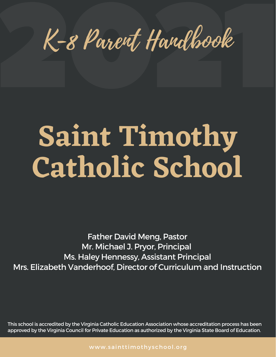K-8 Parent Handhook K-8 Parent Handbook

# **Saint Timothy Catholic School**

Father David Meng, Pastor Mr. Michael J. Pryor, Principal Ms. Haley Hennessy, Assistant Principal Mrs. Elizabeth Vanderhoof, Director of Curriculum and Instruction

This school is accredited by the Virginia Catholic Education Association whose accreditation process has been approved by the Virginia Council for Private Education as authorized by the Virginia State Board of Education.

www.sainttimothyschool.org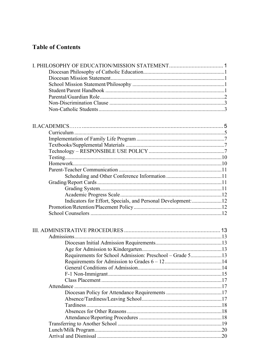### **Table of Contents**

| Admissions                                               |  |
|----------------------------------------------------------|--|
|                                                          |  |
|                                                          |  |
| Requirements for School Admission: Preschool - Grade 513 |  |
|                                                          |  |
|                                                          |  |
| $F_1$ Non-Immiorant<br>$\sim$ 15                         |  |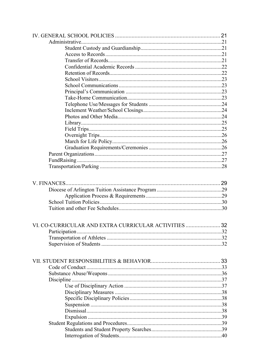| VI. CO-CURRICULAR AND EXTRA CURRICULAR ACTIVITIES  32 |  |
|-------------------------------------------------------|--|
|                                                       |  |
|                                                       |  |
|                                                       |  |
|                                                       |  |
|                                                       |  |
|                                                       |  |
|                                                       |  |
|                                                       |  |
|                                                       |  |
|                                                       |  |
|                                                       |  |
|                                                       |  |
|                                                       |  |
|                                                       |  |
|                                                       |  |
|                                                       |  |
|                                                       |  |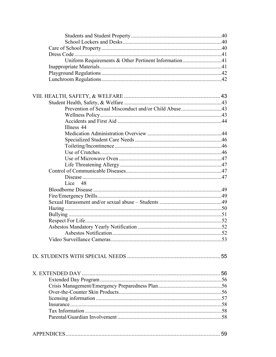| Uniform Requirements & Other Pertinent Information41 |      |
|------------------------------------------------------|------|
|                                                      |      |
|                                                      |      |
|                                                      |      |
|                                                      |      |
|                                                      |      |
|                                                      |      |
|                                                      |      |
|                                                      |      |
|                                                      |      |
|                                                      |      |
| Illness 44                                           |      |
|                                                      |      |
|                                                      |      |
|                                                      |      |
|                                                      |      |
|                                                      |      |
|                                                      |      |
|                                                      |      |
|                                                      |      |
| Lice 48                                              |      |
|                                                      |      |
|                                                      |      |
|                                                      |      |
|                                                      |      |
|                                                      |      |
|                                                      |      |
|                                                      |      |
|                                                      |      |
| Asbestos Notification.                               | . 52 |
|                                                      |      |
|                                                      |      |
|                                                      |      |
|                                                      |      |
|                                                      |      |
|                                                      |      |
|                                                      |      |
|                                                      |      |
|                                                      |      |
|                                                      |      |
|                                                      |      |
|                                                      |      |
|                                                      |      |
|                                                      |      |
|                                                      |      |
|                                                      |      |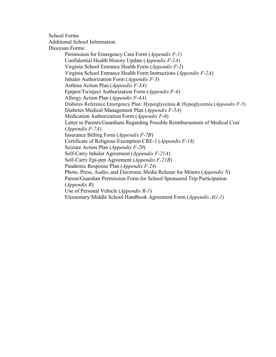School Forms Additional School Information Diocesan Forms: Permission for Emergency Care Form (*Appendix F-1*) Confidential Health History Update (*Appendix F-1A*) Virginia School Entrance Health Form (*Appendix F-2*) Virginia School Entrance Health Form Instructions (*Appendix F-2A*) Inhaler Authorization Form (*Appendix F-3*) Asthma Action Plan (*Appendix F-3A*) Epipen/Twinject Authorization Form (*Appendix F-4*) Allergy Action Plan (*Appendix F-4A*) Diabetes Reference Emergency Plan: Hyperglycemia & Hypoglycemia (*Appendix F-5*) Diabetes Medical Management Plan (*Appendix F-5A*) Medication Authorization Form (*Appendix F-6*) Letter to Parents/Guardians Regarding Possible Reimbursement of Medical Cost (*Appendix F-7A*) Insurance Billing Form (*Appendix F-7B*) Certificate of Religious Exemption CRE-1 (*Appendix F-18)* Seizure Action Plan (*Appendix F-20*) Self-Carry Inhaler Agreement (*Appendix F-21A*) Self-Carry Epi-pen Agreement (*Appendix F-21B*) Pandemic Response Plan (*Appendix F-24)* Photo, Press, Audio, and Electronic Media Release for Minors (*Appendix N*) Parent/Guardian Permission Form for School Sponsored Trip Participation (*Appendix R*) Use of Personal Vehicle (*Appendix R-1*) Elementary/Middle School Handbook Agreement Form (*Appendix AG-1*)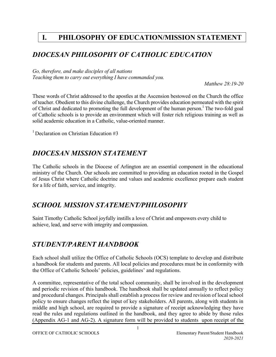# **I. PHILOSOPHY OF EDUCATION/MISSION STATEMENT**

### *DIOCESAN PHILOSOPHY OF CATHOLIC EDUCATION*

*Go, therefore, and make disciples of all nations Teaching them to carry out everything I have commanded you.* 

*Matthew 28:19-20*

These words of Christ addressed to the apostles at the Ascension bestowed on the Church the office of teacher. Obedient to this divine challenge, the Church provides education permeated with the spirit of Christ and dedicated to promoting the full development of the human person.<sup>1</sup> The two-fold goal of Catholic schools is to provide an environment which will foster rich religious training as well as solid academic education in a Catholic, value-oriented manner.

<sup>1</sup> Declaration on Christian Education #3

### *DIOCESAN MISSION STATEMENT*

The Catholic schools in the Diocese of Arlington are an essential component in the educational ministry of the Church. Our schools are committed to providing an education rooted in the Gospel of Jesus Christ where Catholic doctrine and values and academic excellence prepare each student for a life of faith, service, and integrity.

### *SCHOOL MISSION STATEMENT/PHILOSOPHY*

Saint Timothy Catholic School joyfully instills a love of Christ and empowers every child to achieve, lead, and serve with integrity and compassion.

### *STUDENT/PARENT HANDBOOK*

Each school shall utilize the Office of Catholic Schools (OCS) template to develop and distribute a handbook for students and parents. All local policies and procedures must be in conformity with the Office of Catholic Schools' policies, guidelines' and regulations.

A committee, representative of the total school community, shall be involved in the development and periodic revision of this handbook. The handbook shall be updated annually to reflect policy and procedural changes. Principals shall establish a process for review and revision of local school policy to ensure changes reflect the input of key stakeholders. All parents, along with students in middle and high school, are required to provide a signature of receipt acknowledging they have read the rules and regulations outlined in the handbook, and they agree to abide by those rules (Appendix AG-1 and AG-2). A signature form will be provided to students upon receipt of the

1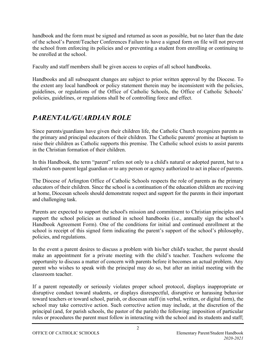handbook and the form must be signed and returned as soon as possible, but no later than the date of the school's Parent/Teacher Conferences Failure to have a signed form on file will not prevent the school from enforcing its policies and or preventing a student from enrolling or continuing to be enrolled at the school.

Faculty and staff members shall be given access to copies of all school handbooks.

Handbooks and all subsequent changes are subject to prior written approval by the Diocese. To the extent any local handbook or policy statement therein may be inconsistent with the policies, guidelines, or regulations of the Office of Catholic Schools, the Office of Catholic Schools' policies, guidelines, or regulations shall be of controlling force and effect.

### *PARENTAL/GUARDIAN ROLE*

Since parents/guardians have given their children life, the Catholic Church recognizes parents as the primary and principal educators of their children. The Catholic parents' promise at baptism to raise their children as Catholic supports this premise. The Catholic school exists to assist parents in the Christian formation of their children.

In this Handbook, the term "parent" refers not only to a child's natural or adopted parent, but to a student's non-parent legal guardian or to any person or agency authorized to act in place of parents.

The Diocese of Arlington Office of Catholic Schools respects the role of parents as the primary educators of their children. Since the school is a continuation of the education children are receiving at home, Diocesan schools should demonstrate respect and support for the parents in their important and challenging task.

Parents are expected to support the school's mission and commitment to Christian principles and support the school policies as outlined in school handbooks (i.e., annually sign the school's Handbook Agreement Form). One of the conditions for initial and continued enrollment at the school is receipt of this signed form indicating the parent's support of the school's philosophy, policies, and regulations.

In the event a parent desires to discuss a problem with his/her child's teacher, the parent should make an appointment for a private meeting with the child's teacher. Teachers welcome the opportunity to discuss a matter of concern with parents before it becomes an actual problem. Any parent who wishes to speak with the principal may do so, but after an initial meeting with the classroom teacher.

If a parent repeatedly or seriously violates proper school protocol, displays inappropriate or disruptive conduct toward students, or displays disrespectful, disruptive or harassing behavior toward teachers or toward school, parish, or diocesan staff (in verbal, written, or digital form), the school may take corrective action. Such corrective action may include, at the discretion of the principal (and, for parish schools, the pastor of the parish) the following: imposition of particular rules or procedures the parent must follow in interacting with the school and its students and staff;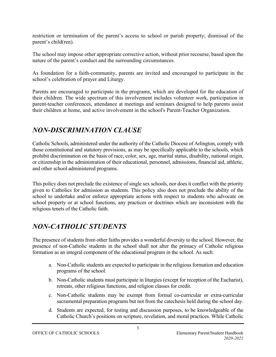restriction or termination of the parent's access to school or parish property; dismissal of the parent's child(ren).

The school may impose other appropriate corrective action, without prior recourse, based upon the nature of the parent's conduct and the surrounding circumstances.

As foundation for a faith-community, parents are invited and encouraged to participate in the school's celebration of prayer and Liturgy.

Parents are encouraged to participate in the programs, which are developed for the education of their children. The wide spectrum of this involvement includes volunteer work, participation in parent-teacher conferences, attendance at meetings and seminars designed to help parents assist their children at home, and active involvement in the school's Parent-Teacher Organization.

### *NON-DISCRIMINATION CLAUSE*

Catholic Schools, administered under the authority of the Catholic Diocese of Arlington, comply with those constitutional and statutory provisions, as may be specifically applicable to the schools, which prohibit discrimination on the basis of race, color, sex, age, marital status, disability, national origin, or citizenship in the administration of their educational, personnel, admissions, financial aid, athletic, and other school administered programs.

This policy does not preclude the existence of single sex schools, nor does it conflict with the priority given to Catholics for admission as students. This policy also does not preclude the ability of the school to undertake and/or enforce appropriate actions with respect to students who advocate on school property or at school functions, any practices or doctrines which are inconsistent with the religious tenets of the Catholic faith.

# *NON-CATHOLIC STUDENTS*

The presence of students from other faiths provides a wonderful diversity to the school. However, the presence of non-Catholic students in the school shall not alter the primacy of Catholic religious formation as an integral component of the educational program in the school. As such:

- a. Non-Catholic students are expected to participate in the religious formation and education programs of the school.
- b. Non-Catholic students must participate in liturgies (except for reception of the Eucharist), retreats, other religious functions, and religion classes for credit.
- c. Non-Catholic students may be exempt from formal co-curricular or extra-curricular sacramental preparation programs but not from the catechesis held during the school day.
- d. Students are expected, for testing and discussion purposes, to be knowledgeable of the Catholic Church's positions on scripture, revelation, and moral practices. While Catholic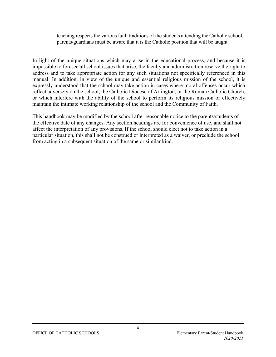teaching respects the various faith traditions of the students attending the Catholic school, parents/guardians must be aware that it is the Catholic position that will be taught

In light of the unique situations which may arise in the educational process, and because it is impossible to foresee all school issues that arise, the faculty and administration reserve the right to address and to take appropriate action for any such situations not specifically referenced in this manual. In addition, in view of the unique and essential religious mission of the school, it is expressly understood that the school may take action in cases where moral offenses occur which reflect adversely on the school, the Catholic Diocese of Arlington, or the Roman Catholic Church, or which interfere with the ability of the school to perform its religious mission or effectively maintain the intimate working relationship of the school and the Community of Faith.

This handbook may be modified by the school after reasonable notice to the parents/students of the effective date of any changes. Any section headings are for convenience of use, and shall not affect the interpretation of any provisions. If the school should elect not to take action in a particular situation, this shall not be construed or interpreted as a waiver, or preclude the school from acting in a subsequent situation of the same or similar kind.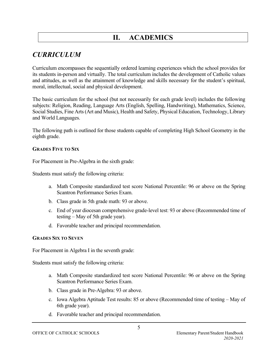# **II. ACADEMICS**

# *CURRICULUM*

Curriculum encompasses the sequentially ordered learning experiences which the school provides for its students in-person and virtually. The total curriculum includes the development of Catholic values and attitudes, as well as the attainment of knowledge and skills necessary for the student's spiritual, moral, intellectual, social and physical development.

The basic curriculum for the school (but not necessarily for each grade level) includes the following subjects: Religion, Reading, Language Arts (English, Spelling, Handwriting), Mathematics, Science, Social Studies, Fine Arts (Art and Music), Health and Safety, Physical Education, Technology, Library and World Languages.

The following path is outlined for those students capable of completing High School Geometry in the eighth grade.

#### **GRADES FIVE TO SIX**

For Placement in Pre-Algebra in the sixth grade:

Students must satisfy the following criteria:

- a. Math Composite standardized test score National Percentile: 96 or above on the Spring Scantron Performance Series Exam.
- b. Class grade in 5th grade math: 93 or above.
- c. End of year diocesan comprehensive grade-level test: 93 or above (Recommended time of testing – May of 5th grade year).
- d. Favorable teacher and principal recommendation.

#### **GRADES SIX TO SEVEN**

For Placement in Algebra I in the seventh grade:

Students must satisfy the following criteria:

- a. Math Composite standardized test score National Percentile: 96 or above on the Spring Scantron Performance Series Exam.
- b. Class grade in Pre-Algebra: 93 or above.
- c. Iowa Algebra Aptitude Test results: 85 or above (Recommended time of testing May of 6th grade year).
- d. Favorable teacher and principal recommendation.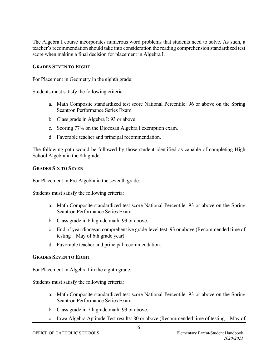The Algebra I course incorporates numerous word problems that students need to solve. As such, a teacher's recommendation should take into consideration the reading comprehension standardized test score when making a final decision for placement in Algebra I.

#### **GRADES SEVEN TO EIGHT**

For Placement in Geometry in the eighth grade:

Students must satisfy the following criteria:

- a. Math Composite standardized test score National Percentile: 96 or above on the Spring Scantron Performance Series Exam.
- b. Class grade in Algebra I: 93 or above.
- c. Scoring 77% on the Diocesan Algebra I exemption exam.
- d. Favorable teacher and principal recommendation.

The following path would be followed by those student identified as capable of completing High School Algebra in the 8th grade.

#### **GRADES SIX TO SEVEN**

For Placement in Pre-Algebra in the seventh grade:

Students must satisfy the following criteria:

- a. Math Composite standardized test score National Percentile: 93 or above on the Spring Scantron Performance Series Exam.
- b. Class grade in 6th grade math: 93 or above.
- c. End of year diocesan comprehensive grade-level test: 93 or above (Recommended time of testing – May of 6th grade year).
- d. Favorable teacher and principal recommendation.

#### **GRADES SEVEN TO EIGHT**

For Placement in Algebra I in the eighth grade:

Students must satisfy the following criteria:

- a. Math Composite standardized test score National Percentile: 93 or above on the Spring Scantron Performance Series Exam.
- b. Class grade in 7th grade math: 93 or above.
- c. Iowa Algebra Aptitude Test results: 80 or above (Recommended time of testing May of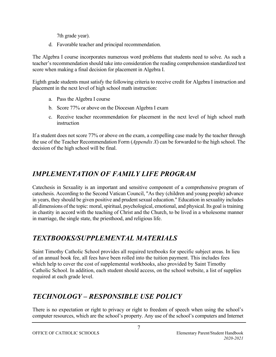7th grade year).

d. Favorable teacher and principal recommendation.

The Algebra I course incorporates numerous word problems that students need to solve. As such a teacher's recommendation should take into consideration the reading comprehension standardized test score when making a final decision for placement in Algebra I.

Eighth grade students must satisfy the following criteria to receive credit for Algebra I instruction and placement in the next level of high school math instruction:

- a. Pass the Algebra I course
- b. Score 77% or above on the Diocesan Algebra I exam
- c. Receive teacher recommendation for placement in the next level of high school math instruction

If a student does not score 77% or above on the exam, a compelling case made by the teacher through the use of the Teacher Recommendation Form (*Appendix X*) can be forwarded to the high school. The decision of the high school will be final.

# *IMPLEMENTATION OF FAMILY LIFE PROGRAM*

Catechesis in Sexuality is an important and sensitive component of a comprehensive program of catechesis. According to the Second Vatican Council, "As they (children and young people) advance in years, they should be given positive and prudent sexual education." Education in sexuality includes all dimensions of the topic: moral, spiritual, psychological, emotional, and physical. Its goal is training in chastity in accord with the teaching of Christ and the Church, to be lived in a wholesome manner in marriage, the single state, the priesthood, and religious life.

# *TEXTBOOKS/SUPPLEMENTAL MATERIALS*

Saint Timothy Catholic School provides all required textbooks for specific subject areas. In lieu of an annual book fee, all fees have been rolled into the tuition payment. This includes fees which help to cover the cost of supplemental workbooks, also provided by Saint Timothy Catholic School. In addition, each student should access, on the school website, a list of supplies required at each grade level.

# *TECHNOLOGY – RESPONSIBLE USE POLICY*

There is no expectation or right to privacy or right to freedom of speech when using the school's computer resources, which are the school's property. Any use of the school's computers and Internet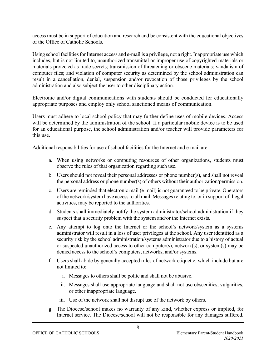access must be in support of education and research and be consistent with the educational objectives of the Office of Catholic Schools.

Using school facilities for Internet access and e-mail is a privilege, not a right. Inappropriate use which includes, but is not limited to, unauthorized transmittal or improper use of copyrighted materials or materials protected as trade secrets; transmission of threatening or obscene materials; vandalism of computer files; and violation of computer security as determined by the school administration can result in a cancellation, denial, suspension and/or revocation of those privileges by the school administration and also subject the user to other disciplinary action.

Electronic and/or digital communications with students should be conducted for educationally appropriate purposes and employ only school sanctioned means of communication.

Users must adhere to local school policy that may further define uses of mobile devices. Access will be determined by the administration of the school. If a particular mobile device is to be used for an educational purpose, the school administration and/or teacher will provide parameters for this use.

Additional responsibilities for use of school facilities for the Internet and e-mail are:

- a. When using networks or computing resources of other organizations, students must observe the rules of that organization regarding such use.
- b. Users should not reveal their personal addresses or phone number(s), and shall not reveal the personal address or phone number(s) of others without their authorization/permission.
- c. Users are reminded that electronic mail (e-mail) is not guaranteed to be private. Operators of the network/system have access to all mail. Messages relating to, or in support of illegal activities, may be reported to the authorities.
- d. Students shall immediately notify the system administrator/school administration if they suspect that a security problem with the system and/or the Internet exists.
- e. Any attempt to log onto the Internet or the school's network/system as a systems administrator will result in a loss of user privileges at the school. Any user identified as a security risk by the school administration/systems administrator due to a history of actual or suspected unauthorized access to other computer(s), network(s), or system(s) may be denied access to the school's computers, networks, and/or systems.
- f. Users shall abide by generally accepted rules of network etiquette, which include but are not limited to:
	- i. Messages to others shall be polite and shall not be abusive.
	- ii. Messages shall use appropriate language and shall not use obscenities, vulgarities, or other inappropriate language.
	- iii. Use of the network shall not disrupt use of the network by others.
- g. The Diocese/school makes no warranty of any kind, whether express or implied**,** for Internet service. The Diocese/school will not be responsible for any damages suffered.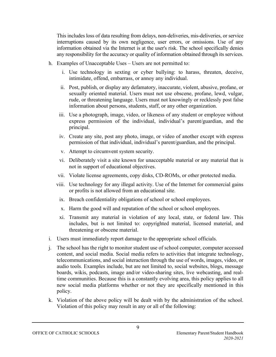This includes loss of data resulting from delays, non-deliveries, mis-deliveries, or service interruptions caused by its own negligence, user errors, or omissions. Use of any information obtained via the Internet is at the user's risk. The school specifically denies any responsibility for the accuracy or quality of information obtained through its services.

- h. Examples of Unacceptable Uses Users are not permitted to:
	- i. Use technology in sexting or cyber bullying: to harass, threaten, deceive, intimidate, offend, embarrass, or annoy any individual.
	- ii. Post, publish, or display any defamatory, inaccurate, violent, abusive, profane, or sexually oriented material. Users must not use obscene, profane, lewd, vulgar, rude, or threatening language. Users must not knowingly or recklessly post false information about persons, students, staff, or any other organization.
	- iii. Use a photograph, image, video, or likeness of any student or employee without express permission of the individual, individual's parent/guardian, and the principal.
	- iv. Create any site, post any photo, image, or video of another except with express permission of that individual, individual's parent/guardian, and the principal.
	- v. Attempt to circumvent system security.
	- vi. Deliberately visit a site known for unacceptable material or any material that is not in support of educational objectives.
	- vii. Violate license agreements, copy disks, CD-ROMs, or other protected media.
	- viii. Use technology for any illegal activity. Use of the Internet for commercial gains or profits is not allowed from an educational site.
		- ix. Breach confidentiality obligations of school or school employees.
		- x. Harm the good will and reputation of the school or school employees.
	- xi. Transmit any material in violation of any local, state, or federal law. This includes, but is not limited to: copyrighted material, licensed material, and threatening or obscene material.
- i. Users must immediately report damage to the appropriate school officials.
- j. The school has the right to monitor student use of school computer, computer accessed content, and social media. Social media refers to activities that integrate technology, telecommunications, and social interaction through the use of words, images, video, or audio tools. Examples include, but are not limited to, social websites, blogs, message boards, wikis, podcasts, image and/or video-sharing sites, live webcasting, and realtime communities. Because this is a constantly evolving area, this policy applies to all new social media platforms whether or not they are specifically mentioned in this policy.
- k. Violation of the above policy will be dealt with by the administration of the school. Violation of this policy may result in any or all of the following: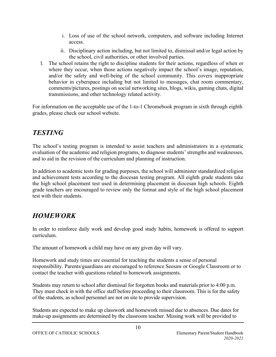- i. Loss of use of the school network, computers, and software including Internet access.
- ii. Disciplinary action including, but not limited to, dismissal and/or legal action by the school, civil authorities, or other involved parties.
- l. The school retains the right to discipline students for their actions, regardless of when or where they occur, when those actions negatively impact the school's image, reputation, and/or the safety and well-being of the school community. This covers inappropriate behavior in cyberspace including but not limited to messages, chat room commentary, comments/pictures, postings on social networking sites, blogs, wikis, gaming chats, digital transmissions, and other technology related activity.

For information on the acceptable use of the 1-to-1 Chromebook program in sixth through eighth grades, please check our school website.

# *TESTING*

The school's testing program is intended to assist teachers and administrators in a systematic evaluation of the academic and religion programs, to diagnose students' strengths and weaknesses, and to aid in the revision of the curriculum and planning of instruction.

In addition to academic tests for grading purposes, the school will administer standardized religion and achievement tests according to the diocesan testing program. All eighth grade students take the high school placement test used in determining placement in diocesan high schools. Eighth grade teachers are encouraged to review only the format and style of the high school placement test with their students.

# *HOMEWORK*

In order to reinforce daily work and develop good study habits, homework is offered to support curriculum.

The amount of homework a child may have on any given day will vary.

Homework and study times are essential for teaching the students a sense of personal responsibility. Parents/guardians are encouraged to reference Seesaw or Google Classroom or to contact the teacher with questions related to homework assignments.

Students may return to school after dismissal for forgotten books and materials prior to 4:00 p.m. They must check in with the office staff before proceeding to their classroom. This is for the safety of the students, as school personnel are not on site to provide supervision.

Students are expected to make up classwork and homework missed due to absences. Due dates for make-up assignments are determined by the classroom teacher. Missing work will be provided to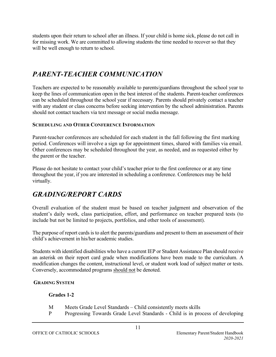students upon their return to school after an illness. If your child is home sick, please do not call in for missing work. We are committed to allowing students the time needed to recover so that they will be well enough to return to school.

# *PARENT-TEACHER COMMUNICATION*

Teachers are expected to be reasonably available to parents/guardians throughout the school year to keep the lines of communication open in the best interest of the students. Parent-teacher conferences can be scheduled throughout the school year if necessary. Parents should privately contact a teacher with any student or class concerns before seeking intervention by the school administration. Parents should not contact teachers via text message or social media message.

#### **SCHEDULING AND OTHER CONFERENCE INFORMATION**

Parent-teacher conferences are scheduled for each student in the fall following the first marking period. Conferences will involve a sign up for appointment times, shared with families via email. Other conferences may be scheduled throughout the year, as needed, and as requested either by the parent or the teacher.

Please do not hesitate to contact your child's teacher prior to the first conference or at any time throughout the year, if you are interested in scheduling a conference. Conferences may be held virtually.

### *GRADING/REPORT CARDS*

Overall evaluation of the student must be based on teacher judgment and observation of the student's daily work, class participation, effort, and performance on teacher prepared tests (to include but not be limited to projects, portfolios, and other tools of assessment).

The purpose of report cards is to alert the parents/guardians and present to them an assessment of their child's achievement in his/her academic studies.

Students with identified disabilities who have a current IEP or Student Assistance Plan should receive an asterisk on their report card grade when modifications have been made to the curriculum. A modification changes the content, instructional level, or student work load of subject matter or tests. Conversely, accommodated programs should not be denoted.

### **GRADING SYSTEM**

### **Grades 1-2**

- M Meets Grade Level Standards Child consistently meets skills
- P Progressing Towards Grade Level Standards Child is in process of developing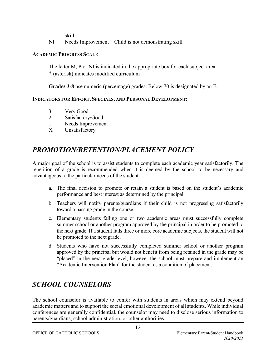skill

NI Needs Improvement – Child is not demonstrating skill

### **ACADEMIC PROGRESS SCALE**

The letter M, P or NI is indicated in the appropriate box for each subject area. \* (asterisk) indicates modified curriculum

**Grades 3-8** use numeric (percentage) grades. Below 70 is designated by an F.

### **INDICATORS FOR EFFORT, SPECIALS, AND PERSONAL DEVELOPMENT:**

- 3 Very Good
- 2 Satisfactory/Good
- 1 Needs Improvement
- X Unsatisfactory

### *PROMOTION/RETENTION/PLACEMENT POLICY*

A major goal of the school is to assist students to complete each academic year satisfactorily. The repetition of a grade is recommended when it is deemed by the school to be necessary and advantageous to the particular needs of the student.

- a. The final decision to promote or retain a student is based on the student's academic performance and best interest as determined by the principal.
- b. Teachers will notify parents/guardians if their child is not progressing satisfactorily toward a passing grade in the course.
- c. Elementary students failing one or two academic areas must successfully complete summer school or another program approved by the principal in order to be promoted to the next grade. If a student fails three or more core academic subjects, the student will not be promoted to the next grade.
- d. Students who have not successfully completed summer school or another program approved by the principal but would not benefit from being retained in the grade may be "placed" in the next grade level; however the school must prepare and implement an "Academic Intervention Plan" for the student as a condition of placement.

# *SCHOOL COUNSELORS*

The school counselor is available to confer with students in areas which may extend beyond academic matters and to support the social emotional development of all students. While individual conferences are generally confidential, the counselor may need to disclose serious information to parents/guardians, school administration, or other authorities.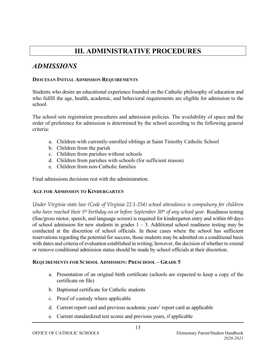# **III. ADMINISTRATIVE PROCEDURES**

### *ADMISSIONS*

#### **DIOCESAN INITIAL ADMISSION REQUIREMENTS**

Students who desire an educational experience founded on the Catholic philosophy of education and who fulfill the age, health, academic, and behavioral requirements are eligible for admission to the school.

The school sets registration procedures and admission policies. The availability of space and the order of preference for admission is determined by the school according to the following general criteria:

- a. Children with currently-enrolled siblings at Saint Timothy Catholic School
- b. Children from the parish
- c. Children from parishes without schools
- d. Children from parishes with schools (for sufficient reason)
- e. Children from non-Catholic families

Final admissions decisions rest with the administration.

#### **AGE FOR ADMISSION TO KINDERGARTEN**

*Under Virginia state law (Code of Virginia 22.1-254) school attendance is compulsory for children who have reached their 5th birthday on or before September 30th of any school year*. Readiness testing (fine/gross motor, speech, and language screen) is required for kindergarten entry and within 60 days of school admission for new students in grades  $1 - 3$ . Additional school readiness testing may be conducted at the discretion of school officials. In those cases where the school has sufficient reservations regarding the potential for success, those students may be admitted on a conditional basis with dates and criteria of evaluation established in writing; however, the decision of whether to extend or remove conditional admission status should be made by school officials at their discretion.

#### **REQUIREMENTS FOR SCHOOL ADMISSION: PRESCHOOL – GRADE 5**

- a. Presentation of an original birth certificate (schools are expected to keep a copy of the certificate on file)
- b. Baptismal certificate for Catholic students
- c. Proof of custody where applicable
- d. Current report card and previous academic years' report card as applicable
- e. Current standardized test scores and previous years, if applicable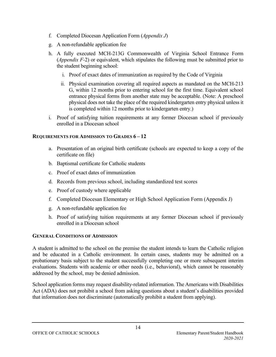- f. Completed Diocesan Application Form (*Appendix J*)
- g. A non-refundable application fee
- h. A fully executed MCH-213G Commonwealth of Virginia School Entrance Form (*Appendix F-*2) or equivalent, which stipulates the following must be submitted prior to the student beginning school:
	- i. Proof of exact dates of immunization as required by the Code of Virginia
	- ii. Physical examination covering all required aspects as mandated on the MCH-213 G, within 12 months prior to entering school for the first time. Equivalent school entrance physical forms from another state may be acceptable. (Note: A preschool physical does not take the place of the required kindergarten entry physical unless it is completed within 12 months prior to kindergarten entry.)
- i. Proof of satisfying tuition requirements at any former Diocesan school if previously enrolled in a Diocesan school

### **REQUIREMENTS FOR ADMISSION TO GRADES 6 – 12**

- a. Presentation of an original birth certificate (schools are expected to keep a copy of the certificate on file)
- b. Baptismal certificate for Catholic students
- c. Proof of exact dates of immunization
- d. Records from previous school, including standardized test scores
- e. Proof of custody where applicable
- f. Completed Diocesan Elementary or High School Application Form (Appendix J)
- g. A non-refundable application fee
- h. Proof of satisfying tuition requirements at any former Diocesan school if previously enrolled in a Diocesan school

### **GENERAL CONDITIONS OF ADMISSION**

A student is admitted to the school on the premise the student intends to learn the Catholic religion and be educated in a Catholic environment. In certain cases, students may be admitted on a probationary basis subject to the student successfully completing one or more subsequent interim evaluations. Students with academic or other needs (i.e., behavioral), which cannot be reasonably addressed by the school, may be denied admission.

School application forms may request disability-related information. The Americans with Disabilities Act (ADA) does not prohibit a school from asking questions about a student's disabilities provided that information does not discriminate (automatically prohibit a student from applying).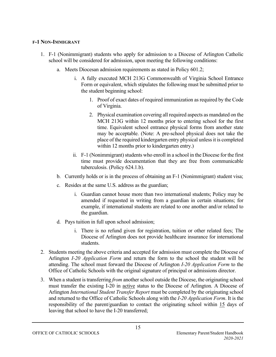### **F-1 NON-IMMIGRANT**

- 1. F-1 (Nonimmigrant) students who apply for admission to a Diocese of Arlington Catholic school will be considered for admission, upon meeting the following conditions:
	- a. Meets Diocesan admission requirements as stated in Policy 601.2;
		- i. A fully executed MCH 213G Commonwealth of Virginia School Entrance Form or equivalent, which stipulates the following must be submitted prior to the student beginning school:
			- 1. Proof of exact dates of required immunization as required by the Code of Virginia.
			- 2. Physical examination covering all required aspects as mandated on the MCH 213G within 12 months prior to entering school for the first time. Equivalent school entrance physical forms from another state may be acceptable. (Note: A pre-school physical does not take the place of the required kindergarten entry physical unless it is completed within 12 months prior to kindergarten entry.)
		- ii. F-1 (Nonimmigrant) students who enroll in a school in the Diocese for the first time must provide documentation that they are free from communicable tuberculosis. (Policy 624.1.b).
	- b. Currently holds or is in the process of obtaining an F-1 (Nonimmigrant) student visa;
	- c. Resides at the same U.S. address as the guardian;
		- i. Guardian cannot house more than two international students; Policy may be amended if requested in writing from a guardian in certain situations; for example, if international students are related to one another and/or related to the guardian.
	- d. Pays tuition in full upon school admission;
		- i. There is no refund given for registration, tuition or other related fees; The Diocese of Arlington does not provide healthcare insurance for international students.
- 2. Students meeting the above criteria and accepted for admission must complete the Diocese of Arlington *I-20 Application Form* and return the form to the school the student will be attending. The school must forward the Diocese of Arlington *I-20 Application Form* to the Office of Catholic Schools with the original signature of principal or admissions director.
- 3. When a student is transferring *from* another school outside the Diocese, the originating school must transfer the existing I-20 in active status to the Diocese of Arlington. A Diocese of Arlington *International Student Transfer Report* must be completed by the originating school and returned to the Office of Catholic Schools along with the *I-20 Application Form*. It is the responsibility of the parent/guardian to contact the originating school within 15 days of leaving that school to have the I-20 transferred;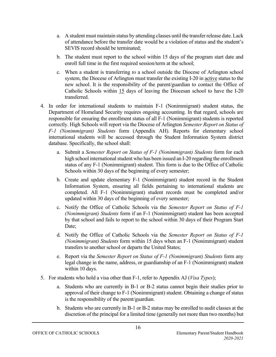- a. A student must maintain status by attending classes until the transfer release date. Lack of attendance before the transfer date would be a violation of status and the student's SEVIS record should be terminated;
- b. The student must report to the school within 15 days of the program start date and enroll full time in the first required session/term at the school;
- c. When a student is transferring *to* a school outside the Diocese of Arlington school system, the Diocese of Arlington must transfer the existing I-20 in active status to the new school. It is the responsibility of the parent/guardian to contact the Office of Catholic Schools within 15 days of leaving the Diocesan school to have the I-20 transferred.
- 4. In order for international students to maintain F-1 (Nonimmigrant) student status, the Department of Homeland Security requires ongoing accounting. In that regard, schools are responsible for ensuring the enrollment status of all F-1 (Nonimmigrant) students is reported correctly. High Schools will report via the Diocese of Arlington *Semester Report on Status of F-1 (Nonimmigrant) Students* form (Appendix AH). Reports for elementary school international students will be accessed through the Student Information System district database. Specifically, the school shall:
	- a. Submit a *Semester Report on Status of F-1 (Nonimmigrant) Students* form for each high school international student who has been issued an I-20 regarding the enrollment status of any F-1 (Nonimmigrant) student. This form is due to the Office of Catholic Schools within 30 days of the beginning of every semester;
	- b. Create and update elementary F-1 (Nonimmigrant) student record in the Student Information System, ensuring all fields pertaining to international students are completed. All F-1 (Nonimmigrant) student records must be completed and/or updated within 30 days of the beginning of every semester;
	- c. Notify the Office of Catholic Schools via the *Semester Report on Status of F-1 (Nonimmigrant) Students* form if an F-1 (Nonimmigrant) student has been accepted by that school and fails to report to the school within 30 days of their Program Start Date:
	- d. Notify the Office of Catholic Schools via the *Semester Report on Status of F-1 (Nonimmigrant) Students* form within 15 days when an F-1 (Nonimmigrant) student transfers to another school or departs the United States;
	- e. Report via the *Semester Report on Status of F-1 (Nonimmigrant) Students* form any legal change in the name, address, or guardianship of an F-1 (Nonimmigrant) student within 10 days.
- 5. For students who hold a visa other than F-1, refer to Appendix AJ (*Visa Types*);
	- a. Students who are currently in B-1 or B-2 status cannot begin their studies prior to approval of their change to F-1 (Nonimmigrant) student. Obtaining a change of status is the responsibility of the parent/guardian.
	- b. Students who are currently in B-1 or B-2 status may be enrolled to audit classes at the discretion of the principal for a limited time (generally not more than two months) but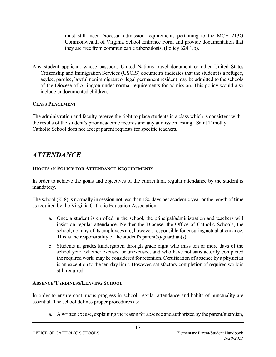must still meet Diocesan admission requirements pertaining to the MCH 213G Commonwealth of Virginia School Entrance Form and provide documentation that they are free from communicable tuberculosis. (Policy 624.1.b).

Any student applicant whose passport, United Nations travel document or other United States Citizenship and Immigration Services (USCIS) documents indicates that the student is a refugee, asylee, parolee, lawful nonimmigrant or legal permanent resident may be admitted to the schools of the Diocese of Arlington under normal requirements for admission. This policy would also include undocumented children.

### **CLASS PLACEMENT**

The administration and faculty reserve the right to place students in a class which is consistent with the results of the student's prior academic records and any admission testing. Saint Timothy Catholic School does not accept parent requests for specific teachers.

### *ATTENDANCE*

### **DIOCESAN POLICY FOR ATTENDANCE REQUIREMENTS**

In order to achieve the goals and objectives of the curriculum, regular attendance by the student is mandatory.

The school (K-8) is normally in session not less than 180 days per academic year or the length of time as required by the Virginia Catholic Education Association.

- a. Once a student is enrolled in the school, the principal/administration and teachers will insist on regular attendance. Neither the Diocese, the Office of Catholic Schools, the school, nor any of its employees are, however, responsible for ensuring actual attendance. This is the responsibility of the student's parent(s)/guardian(s).
- b. Students in grades kindergarten through grade eight who miss ten or more days of the school year, whether excused or unexcused, and who have not satisfactorily completed the required work, may be considered for retention. Certification of absence by a physician is an exception to the ten-day limit. However, satisfactory completion of required work is still required.

### **ABSENCE/TARDINESS/LEAVING SCHOOL**

In order to ensure continuous progress in school, regular attendance and habits of punctuality are essential. The school defines proper procedures as:

a. A written excuse, explaining the reason for absence and authorized by the parent/guardian,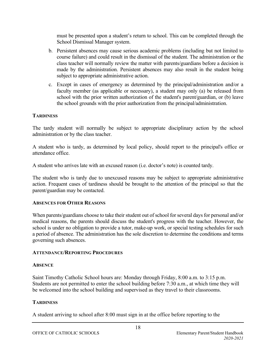must be presented upon a student's return to school. This can be completed through the School Dismissal Manager system.

- b. Persistent absences may cause serious academic problems (including but not limited to course failure) and could result in the dismissal of the student. The administration or the class teacher will normally review the matter with parents/guardians before a decision is made by the administration. Persistent absences may also result in the student being subject to appropriate administrative action.
- c. Except in cases of emergency as determined by the principal/administration and/or a faculty member (as applicable or necessary), a student may only (a) be released from school with the prior written authorization of the student's parent/guardian, or (b) leave the school grounds with the prior authorization from the principal/administration.

### **TARDINESS**

The tardy student will normally be subject to appropriate disciplinary action by the school administration or by the class teacher.

A student who is tardy, as determined by local policy, should report to the principal's office or attendance office.

A student who arrives late with an excused reason (i.e. doctor's note) is counted tardy.

The student who is tardy due to unexcused reasons may be subject to appropriate administrative action. Frequent cases of tardiness should be brought to the attention of the principal so that the parent/guardian may be contacted.

#### **ABSENCES FOR OTHER REASONS**

When parents/guardians choose to take their student out of school for several days for personal and/or medical reasons, the parents should discuss the student's progress with the teacher. However, the school is under no obligation to provide a tutor, make-up work, or special testing schedules for such a period of absence. The administration has the sole discretion to determine the conditions and terms governing such absences.

#### **ATTENDANCE/REPORTING PROCEDURES**

#### **ABSENCE**

Saint Timothy Catholic School hours are: Monday through Friday, 8:00 a.m. to 3:15 p.m. Students are not permitted to enter the school building before 7:30 a.m., at which time they will be welcomed into the school building and supervised as they travel to their classrooms.

### **TARDINESS**

A student arriving to school after 8:00 must sign in at the office before reporting to the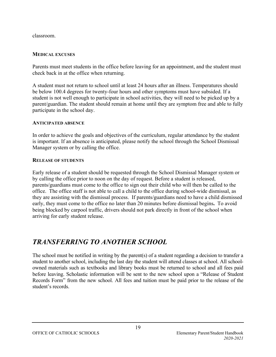classroom.

#### **MEDICAL EXCUSES**

Parents must meet students in the office before leaving for an appointment, and the student must check back in at the office when returning.

A student must not return to school until at least 24 hours after an illness. Temperatures should be below 100.4 degrees for twenty-four hours and other symptoms must have subsided. If a student is not well enough to participate in school activities, they will need to be picked up by a parent/guardian. The student should remain at home until they are symptom free and able to fully participate in the school day.

#### **ANTICIPATED ABSENCE**

In order to achieve the goals and objectives of the curriculum, regular attendance by the student is important. If an absence is anticipated, please notify the school through the School Dismissal Manager system or by calling the office.

#### **RELEASE OF STUDENTS**

Early release of a student should be requested through the School Dismissal Manager system or by calling the office prior to noon on the day of request. Before a student is released, parents/guardians must come to the office to sign out their child who will then be called to the office. The office staff is not able to call a child to the office during school-wide dismissal, as they are assisting with the dismissal process. If parents/guardians need to have a child dismissed early, they must come to the office no later than 20 minutes before dismissal begins**.** To avoid being blocked by carpool traffic, drivers should not park directly in front of the school when arriving for early student release.

### *TRANSFERRING TO ANOTHER SCHOOL*

The school must be notified in writing by the parent(s) of a student regarding a decision to transfer a student to another school, including the last day the student will attend classes at school. All schoolowned materials such as textbooks and library books must be returned to school and all fees paid before leaving. Scholastic information will be sent to the new school upon a "Release of Student Records Form" from the new school. All fees and tuition must be paid prior to the release of the student's records.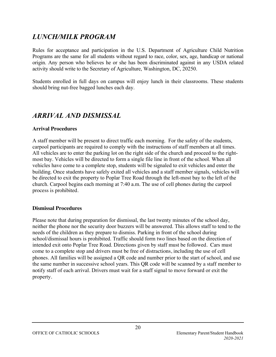### *LUNCH/MILK PROGRAM*

Rules for acceptance and participation in the U.S. Department of Agriculture Child Nutrition Programs are the same for all students without regard to race, color, sex, age, handicap or national origin. Any person who believes he or she has been discriminated against in any USDA related activity should write to the Secretary of Agriculture, Washington, DC, 20250.

Students enrolled in full days on campus will enjoy lunch in their classrooms. These students should bring nut-free bagged lunches each day.

### *ARRIVAL AND DISMISSAL*

### **Arrival Procedures**

A staff member will be present to direct traffic each morning. For the safety of the students, carpool participants are required to comply with the instructions of staff members at all times. All vehicles are to enter the parking lot on the right side of the church and proceed to the rightmost bay. Vehicles will be directed to form a single file line in front of the school. When all vehicles have come to a complete stop, students will be signaled to exit vehicles and enter the building. Once students have safely exited all vehicles and a staff member signals, vehicles will be directed to exit the property to Poplar Tree Road through the left-most bay to the left of the church. Carpool begins each morning at 7:40 a.m. The use of cell phones during the carpool process is prohibited.

#### **Dismissal Procedures**

Please note that during preparation for dismissal, the last twenty minutes of the school day, neither the phone nor the security door buzzers will be answered. This allows staff to tend to the needs of the children as they prepare to dismiss. Parking in front of the school during school/dismissal hours is prohibited. Traffic should form two lines based on the direction of intended exit onto Poplar Tree Road. Directions given by staff must be followed. Cars must come to a complete stop and drivers must be free of distractions, including the use of cell phones. All families will be assigned a QR code and number prior to the start of school, and use the same number in successive school years. This QR code will be scanned by a staff member to notify staff of each arrival. Drivers must wait for a staff signal to move forward or exit the property.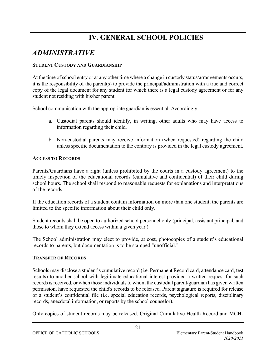# **IV. GENERAL SCHOOL POLICIES**

### *ADMINISTRATIVE*

### **STUDENT CUSTODY AND GUARDIANSHIP**

At the time of school entry or at any other time where a change in custody status/arrangements occurs, it is the responsibility of the parent(s) to provide the principal/administration with a true and correct copy of the legal document for any student for which there is a legal custody agreement or for any student not residing with his/her parent.

School communication with the appropriate guardian is essential. Accordingly:

- a. Custodial parents should identify, in writing, other adults who may have access to information regarding their child.
- b. Non-custodial parents may receive information (when requested) regarding the child unless specific documentation to the contrary is provided in the legal custody agreement.

### **ACCESS TO RECORDS**

Parents/Guardians have a right (unless prohibited by the courts in a custody agreement) to the timely inspection of the educational records (cumulative and confidential) of their child during school hours. The school shall respond to reasonable requests for explanations and interpretations of the records.

If the education records of a student contain information on more than one student, the parents are limited to the specific information about their child only.

Student records shall be open to authorized school personnel only (principal, assistant principal, and those to whom they extend access within a given year.)

The School administration may elect to provide, at cost, photocopies of a student's educational records to parents, but documentation is to be stamped "unofficial."

### **TRANSFER OF RECORDS**

Schools may disclose a student's cumulative record (i.e. Permanent Record card, attendance card, test results) to another school with legitimate educational interest provided a written request for such records is received, or when those individuals to whom the custodial parent/guardian has given written permission, have requested the child's records to be released. Parent signature is required for release of a student's confidential file (i.e. special education records, psychological reports, disciplinary records, anecdotal information, or reports by the school counselor).

Only copies of student records may be released. Original Cumulative Health Record and MCH-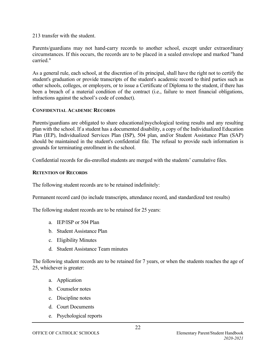213 transfer with the student.

Parents/guardians may not hand-carry records to another school, except under extraordinary circumstances. If this occurs, the records are to be placed in a sealed envelope and marked "hand carried."

As a general rule, each school, at the discretion of its principal, shall have the right not to certify the student's graduation or provide transcripts of the student's academic record to third parties such as other schools, colleges, or employers, or to issue a Certificate of Diploma to the student, if there has been a breach of a material condition of the contract (i.e., failure to meet financial obligations, infractions against the school's code of conduct).

#### **CONFIDENTIAL ACADEMIC RECORDS**

Parents/guardians are obligated to share educational/psychological testing results and any resulting plan with the school. If a student has a documented disability, a copy of the Individualized Education Plan (IEP), Individualized Services Plan (ISP), 504 plan, and/or Student Assistance Plan (SAP) should be maintained in the student's confidential file. The refusal to provide such information is grounds for terminating enrollment in the school.

Confidential records for dis-enrolled students are merged with the students' cumulative files.

#### **RETENTION OF RECORDS**

The following student records are to be retained indefinitely:

Permanent record card (to include transcripts, attendance record, and standardized test results)

The following student records are to be retained for 25 years:

- a. IEP/ISP or 504 Plan
- b. Student Assistance Plan
- c. Eligibility Minutes
- d. Student Assistance Team minutes

The following student records are to be retained for 7 years, or when the students reaches the age of 25, whichever is greater:

- a. Application
- b. Counselor notes
- c. Discipline notes
- d. Court Documents
- e. Psychological reports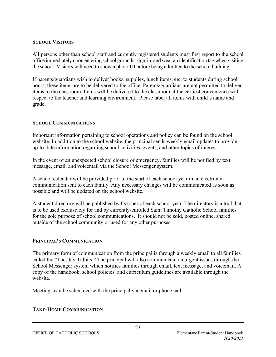### **SCHOOL VISITORS**

All persons other than school staff and currently registered students must first report to the school office immediately upon entering school grounds, sign-in, and wear an identification tag when visiting the school. Visitors will need to show a photo ID before being admitted to the school building.

If parents/guardians wish to deliver books, supplies, lunch items, etc. to students during school hours, these items are to be delivered to the office. Parents/guardians are not permitted to deliver items to the classroom. Items will be delivered to the classroom at the earliest convenience with respect to the teacher and learning environment. Please label all items with child's name and grade.

### **SCHOOL COMMUNICATIONS**

Important information pertaining to school operations and policy can be found on the school website. In addition to the school website, the principal sends weekly email updates to provide up-to-date information regarding school activities, events, and other topics of interest.

In the event of an unexpected school closure or emergency, families will be notified by text message, email, and voicemail via the School Messenger system.

A school calendar will be provided prior to the start of each school year in an electronic communication sent to each family. Any necessary changes will be communicated as soon as possible and will be updated on the school website.

A student directory will be published by October of each school year. The directory is a tool that is to be used exclusively for and by currently-enrolled Saint Timothy Catholic School families for the sole purpose of school communications. It should not be sold, posted online, shared outside of the school community or used for any other purposes.

#### **PRINCIPAL'S COMMUNICATION**

The primary form of communication from the principal is through a weekly email to all families called the "Tuesday Tidbits." The principal will also communicate on urgent issues through the School Messenger system which notifies families through email, text message, and voicemail. A copy of the handbook, school policies, and curriculum guidelines are available through the website.

Meetings can be scheduled with the principal via email or phone call.

### **TAKE-HOME COMMUNICATION**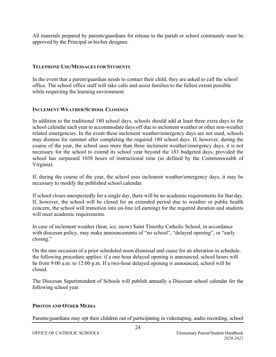All materials prepared by parents/guardians for release to the parish or school community must be approved by the Principal or his/her designee.

#### **TELEPHONE USE/MESSAGES FOR STUDENTS**

In the event that a parent/guardian needs to contact their child, they are asked to call the school office. The school office staff will take calls and assist families to the fullest extent possible while respecting the learning environment.

#### **INCLEMENT WEATHER/SCHOOL CLOSINGS**

In addition to the traditional 180 school days, schools should add at least three extra days to the school calendar each year to accommodate days off due to inclement weather or other non-weather related emergencies. In the event these inclement weather/emergency days are not used, schools may dismiss for summer after completing the required 180 school days. If, however, during the course of the year, the school uses more than three inclement weather/emergency days, it is not necessary for the school to extend its school year beyond the 183 budgeted days, provided the school has surpassed 1038 hours of instructional time (as defined by the Commonwealth of Virginia).

If, during the course of the year, the school uses inclement weather/emergency days, it may be necessary to modify the published school calendar.

If school closes unexpectedly for a single day, there will be no academic requirements for that day. If, however, the school will be closed for an extended period due to weather or public health concern, the school will transition into on-line (eLearning) for the required duration and students will meet academic requirements.

In case of inclement weather (heat, ice, snow) Saint Timothy Catholic School, in accordance with diocesan policy, may make announcements of "no school", "delayed opening", or "early closing."

On the rare occasion of a prior scheduled noon dismissal and cause for an alteration in schedule, the following procedure applies: if a one hour delayed opening is announced, school hours will be from 9:00 a.m. to 12:00 p.m. If a two-hour delayed opening is announced, school will be closed.

The Diocesan Superintendent of Schools will publish annually a Diocesan school calendar for the following school year.

#### **PHOTOS AND OTHER MEDIA**

Parents/guardians may opt their children out of participating in videotaping, audio recording, school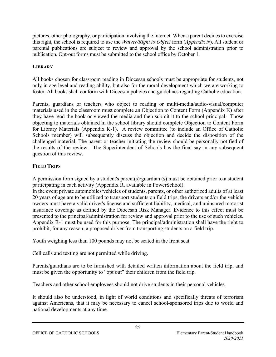pictures, other photography, or participation involving the Internet. When a parent decides to exercise this right, the school is required to use the *Waiver/Right to Object* form (*Appendix N*). All student or parental publications are subject to review and approval by the school administration prior to publication. Opt-out forms must be submitted to the school office by October 1.

### **LIBRARY**

All books chosen for classroom reading in Diocesan schools must be appropriate for students, not only in age level and reading ability, but also for the moral development which we are working to foster. All books shall conform with Diocesan policies and guidelines regarding Catholic education.

Parents, guardians or teachers who object to reading or multi-media/audio-visual/computer materials used in the classroom must complete an Objection to Content Form (Appendix K) after they have read the book or viewed the media and then submit it to the school principal. Those objecting to materials obtained in the school library should complete Objection to Content Form for Library Materials (Appendix K-1). A review committee (to include an Office of Catholic Schools member) will subsequently discuss the objection and decide the disposition of the challenged material. The parent or teacher initiating the review should be personally notified of the results of the review. The Superintendent of Schools has the final say in any subsequent question of this review.

### **FIELD TRIPS**

A permission form signed by a student's parent(s)/guardian (s) must be obtained prior to a student participating in each activity (Appendix R, available in PowerSchool).

In the event private automobiles/vehicles of students, parents, or other authorized adults of at least 20 years of age are to be utilized to transport students on field trips, the drivers and/or the vehicle owners must have a valid driver's license and sufficient liability, medical, and uninsured motorist insurance coverage as defined by the Diocesan Risk Manager. Evidence to this effect must be presented to the principal/administration for review and approval prior to the use of such vehicles. Appendix R-1 must be used for this purpose. The principal/administration shall have the right to prohibit, for any reason, a proposed driver from transporting students on a field trip.

Youth weighing less than 100 pounds may not be seated in the front seat.

Cell calls and texting are not permitted while driving.

Parents/guardians are to be furnished with detailed written information about the field trip, and must be given the opportunity to "opt out" their children from the field trip.

Teachers and other school employees should not drive students in their personal vehicles.

It should also be understood, in light of world conditions and specifically threats of terrorism against Americans, that it may be necessary to cancel school-sponsored trips due to world and national developments at any time.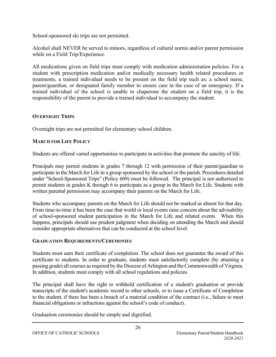School-sponsored ski trips are not permitted.

Alcohol shall NEVER be served to minors, regardless of cultural norms and/or parent permission while on a Field Trip/Experience.

All medications given on field trips must comply with medication administration policies. For a student with prescription medication and/or medically necessary health related procedures or treatments, a trained individual needs to be present on the field trip such as; a school nurse, parent/guardian, or designated family member to ensure care in the case of an emergency. If a trained individual of the school is unable to chaperone the student on a field trip, it is the responsibility of the parent to provide a trained individual to accompany the student.

### **OVERNIGHT TRIPS**

Overnight trips are not permitted for elementary school children.

### **MARCH FOR LIFE POLICY**

Students are offered varied opportunities to participate in activities that promote the sanctity of life.

Principals may permit students in grades 7 through 12 with permission of their parent/guardian to participate in the March for Life in a group sponsored by the school or the parish. Procedures detailed under "School-Sponsored Trips" (Policy 609) must be followed. The principal is not authorized to permit students in grades K through 6 to participate as a group in the March for Life. Students with written parental permission may accompany their parents on the March for Life.

Students who accompany parents on the March for Life should not be marked as absent for that day. From time-to-time it has been the case that world or local events raise concern about the advisability of school-sponsored student participation in the March for Life and related events. When this happens, principals should use prudent judgment when deciding on attending the March and should consider appropriate alternatives that can be conducted at the school level.

### **GRADUATION REQUIREMENTS/CEREMONIES**

Students must earn their certificate of completion. The school does not guarantee the award of this certificate to students. In order to graduate, students must satisfactorily complete (by attaining a passing grade) all courses as required by the Diocese of Arlington and the Commonwealth of Virginia. In addition, students must comply with all school regulations and policies.

The principal shall have the right to withhold certification of a student's graduation or provide transcripts of the student's academic record to other schools, or to issue a Certificate of Completion to the student, if there has been a breach of a material condition of the contract (i.e., failure to meet financial obligations or infractions against the school's code of conduct).

Graduation ceremonies should be simple and dignified.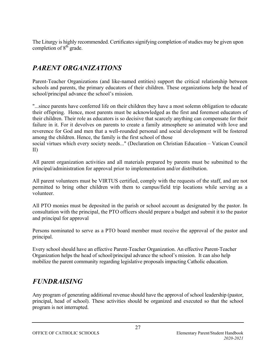The Liturgy is highly recommended. Certificates signifying completion of studies may be given upon completion of  $8<sup>th</sup>$  grade.

# *PARENT ORGANIZATIONS*

Parent-Teacher Organizations (and like-named entities) support the critical relationship between schools and parents, the primary educators of their children. These organizations help the head of school/principal advance the school's mission.

"...since parents have conferred life on their children they have a most solemn obligation to educate their offspring. Hence, most parents must be acknowledged as the first and foremost educators of their children. Their role as educators is so decisive that scarcely anything can compensate for their failure in it. For it devolves on parents to create a family atmosphere so animated with love and reverence for God and men that a well-rounded personal and social development will be fostered among the children. Hence, the family is the first school of those

social virtues which every society needs..." (Declaration on Christian Education – Vatican Council II)

All parent organization activities and all materials prepared by parents must be submitted to the principal/administration for approval prior to implementation and/or distribution.

All parent volunteers must be VIRTUS certified, comply with the requests of the staff, and are not permitted to bring other children with them to campus/field trip locations while serving as a volunteer.

All PTO monies must be deposited in the parish or school account as designated by the pastor. In consultation with the principal, the PTO officers should prepare a budget and submit it to the pastor and principal for approval

Persons nominated to serve as a PTO board member must receive the approval of the pastor and principal.

Every school should have an effective Parent-Teacher Organization. An effective Parent-Teacher Organization helps the head of school/principal advance the school's mission. It can also help mobilize the parent community regarding legislative proposals impacting Catholic education.

# *FUNDRAISING*

Any program of generating additional revenue should have the approval of school leadership (pastor, principal, head of school). These activities should be organized and executed so that the school program is not interrupted.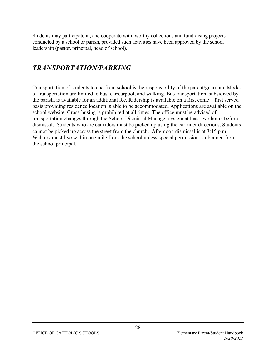Students may participate in, and cooperate with, worthy collections and fundraising projects conducted by a school or parish, provided such activities have been approved by the school leadership (pastor, principal, head of school).

### *TRANSPORTATION/PARKING*

Transportation of students to and from school is the responsibility of the parent/guardian. Modes of transportation are limited to bus, car/carpool, and walking. Bus transportation, subsidized by the parish, is available for an additional fee. Ridership is available on a first come – first served basis providing residence location is able to be accommodated. Applications are available on the school website. Cross-busing is prohibited at all times. The office must be advised of transportation changes through the School Dismissal Manager system at least two hours before dismissal. Students who are car riders must be picked up using the car rider directions. Students cannot be picked up across the street from the church. Afternoon dismissal is at 3:15 p.m. Walkers must live within one mile from the school unless special permission is obtained from the school principal.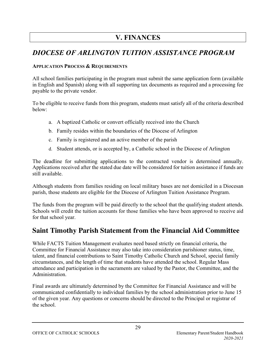# **V. FINANCES**

# *DIOCESE OF ARLINGTON TUITION ASSISTANCE PROGRAM*

### **APPLICATION PROCESS & REQUIREMENTS**

All school families participating in the program must submit the same application form (available in English and Spanish) along with all supporting tax documents as required and a processing fee payable to the private vendor.

To be eligible to receive funds from this program, students must satisfy all of the criteria described below:

- a. A baptized Catholic or convert officially received into the Church
- b. Family resides within the boundaries of the Diocese of Arlington
- c. Family is registered and an active member of the parish
- d. Student attends, or is accepted by, a Catholic school in the Diocese of Arlington

The deadline for submitting applications to the contracted vendor is determined annually. Applications received after the stated due date will be considered for tuition assistance if funds are still available.

Although students from families residing on local military bases are not domiciled in a Diocesan parish, those students are eligible for the Diocese of Arlington Tuition Assistance Program.

The funds from the program will be paid directly to the school that the qualifying student attends. Schools will credit the tuition accounts for those families who have been approved to receive aid for that school year.

### **Saint Timothy Parish Statement from the Financial Aid Committee**

While FACTS Tuition Management evaluates need based strictly on financial criteria, the Committee for Financial Assistance may also take into consideration parishioner status, time, talent, and financial contributions to Saint Timothy Catholic Church and School, special family circumstances, and the length of time that students have attended the school. Regular Mass attendance and participation in the sacraments are valued by the Pastor, the Committee, and the Administration.

Final awards are ultimately determined by the Committee for Financial Assistance and will be communicated confidentially to individual families by the school administration prior to June 15 of the given year. Any questions or concerns should be directed to the Principal or registrar of the school.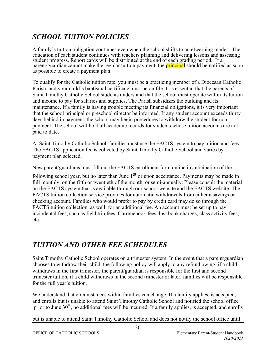# *SCHOOL TUITION POLICIES*

A family's tuition obligation continues even when the school shifts to an eLearning model. The education of each student continues with teachers planning and delivering lessons and assessing student progress. Report cards will be distributed at the end of each grading period. If a parent/guardian cannot make the regular tuition payment, the **principal** should be notified as soon as possible to create a payment plan.

To qualify for the Catholic tuition rate, you must be a practicing member of a Diocesan Catholic Parish, and your child's baptismal certificate must be on file. It is essential that the parents of Saint Timothy Catholic School students understand that the school must operate within its tuition and income to pay for salaries and supplies. The Parish subsidizes the building and its maintenance. If a family is having trouble meeting its financial obligations, it is very important that the school principal or preschool director be informed. If any student account exceeds thirty days behind in payment, the school may begin procedures to withdraw the student for nonpayment. The school will hold all academic records for students whose tuition accounts are not paid to date.

At Saint Timothy Catholic School, families must use the FACTS system to pay tuition and fees. The FACTS application fee is collected by Saint Timothy Catholic School and varies by payment plan selected.

New parent/guardians must fill out the FACTS enrollment form online in anticipation of the

following school year, but no later than June  $1<sup>st</sup>$  or upon acceptance. Payments may be made in full monthly, on the fifth or twentieth of the month, or semi-annually. Please consult the material on the FACTS system that is available through our school website and the FACTS website. The FACTS tuition collection service provides for automatic withdrawals from either a savings or checking account. Families who would prefer to pay by credit card may do so through the FACTS tuition collection, as well, for an additional fee. An account must be set up to pay incipdental fees, such as field trip fees, Chromebook fees, lost book charges, class activity fees, etc.

# *TUITION AND OTHER FEE SCHEDULES*

Saint Timothy Catholic School operates on a trimester system. In the event that a parent/guardian chooses to withdraw their child, the following policy will apply to any refund owing: if a child withdraws in the first trimester, the parent/guardian is responsible for the first and second trimester tuition, if a child withdraws in the second trimester or later, families will be responsible for the full year's tuition.

We understand that circumstances within families can change. If a family applies, is accepted, and enrolls but is unable to attend Saint Timothy Catholic School and notified the school office prior to June  $30<sup>th</sup>$ , no additional fees will be incurred. If a family applies, is accepted, and enrolls

but is unable to attend Saint Timothy Catholic School and does not notify the school office until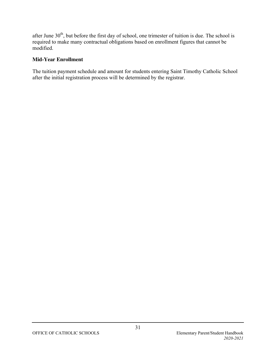after June 30<sup>th</sup>, but before the first day of school, one trimester of tuition is due. The school is required to make many contractual obligations based on enrollment figures that cannot be modified.

#### **Mid-Year Enrollment**

The tuition payment schedule and amount for students entering Saint Timothy Catholic School after the initial registration process will be determined by the registrar.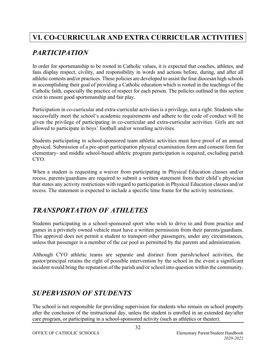# **VI. CO-CURRICULAR AND EXTRA CURRICULAR ACTIVITIES**

# *PARTICIPATION*

In order for sportsmanship to be rooted in Catholic values, it is expected that coaches, athletes, and fans display respect, civility, and responsibility in words and actions before, during, and after all athletic contests and/or practices. These policies are developed to assist the four diocesan high schools in accomplishing their goal of providing a Catholic education which is rooted in the teachings of the Catholic faith, especially the practice of respect for each person. The policies outlined in this section exist to ensure good sportsmanship and fair play.

Participation in co-curricular and extra-curricular activities is a privilege, not a right. Students who successfully meet the school's academic requirements and adhere to the code of conduct will be given the privilege of participating in co-curricular and extra-curricular activities. Girls are not allowed to participate in boys' football and/or wrestling activities.

Students participating in school-sponsored team athletic activities must have proof of an annual physical. Submission of a pre-sport participation physical examination form and consent form for elementary- and middle school-based athletic program participation is required, excluding parish CYO.

When a student is requesting a waiver from participating in Physical Education classes and/or recess, parents/guardians are required to submit a written statement from their child's physician that states any activity restrictions with regard to participation in Physical Education classes and/or recess. The statement is expected to include a specific time frame for the activity restrictions.

# *TRANSPORTATION OF ATHLETES*

Students participating in a school-sponsored sport who wish to drive to and from practice and games in a privately owned vehicle must have a written permission from their parents/guardians. This approval does not permit a student to transport other passengers, under any circumstances, unless that passenger is a member of the car pool as permitted by the parents and administration.

Although CYO athletic teams are separate and distinct from parish/school activities, the pastor/principal retains the right of possible intervention by the school in the event a significant incident would bring the reputation of the parish and/or school into question within the community.

# *SUPERVISION OF STUDENTS*

The school is not responsible for providing supervision for students who remain on school property after the conclusion of the instructional day, unless the student is enrolled in an extended day/after care program, or participating in a school-sponsored activity (such as athletics or theater).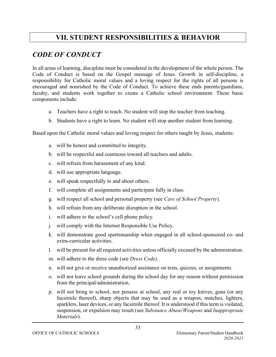### **VII. STUDENT RESPONSIBILITIES & BEHAVIOR**

### *CODE OF CONDUCT*

In all areas of learning, discipline must be considered in the development of the whole person. The Code of Conduct is based on the Gospel message of Jesus. Growth in self-discipline, a responsibility for Catholic moral values and a loving respect for the rights of all persons is encouraged and nourished by the Code of Conduct. To achieve these ends parents/guardians, faculty, and students work together to create a Catholic school environment. These basic components include:

- a. Teachers have a right to teach. No student will stop the teacher from teaching.
- b. Students have a right to learn. No student will stop another student from learning.

Based upon the Catholic moral values and loving respect for others taught by Jesus, students:

- a. will be honest and committed to integrity.
- b. will be respectful and courteous toward all teachers and adults.
- c. will refrain from harassment of any kind.
- d. will use appropriate language.
- e. will speak respectfully to and about others.
- f. will complete all assignments and participate fully in class.
- g. will respect all school and personal property (see *Care of School Property*).
- h. will refrain from any deliberate disruption in the school.
- i. will adhere to the school's cell phone policy.
- j. will comply with the Internet Responsible Use Policy.
- k. will demonstrate good sportsmanship when engaged in all school-sponsored co- and extra-curricular activities.
- l. will be present for all required activities unless officially excused by the administration.
- m. will adhere to the dress code (see *Dress Code).*
- n. will not give or receive unauthorized assistance on tests, quizzes, or assignments.
- o. will not leave school grounds during the school day for any reason without permission from the principal/administration.
- p. will not bring to school, nor possess at school, any real or toy knives, guns (or any facsimile thereof), sharp objects that may be used as a weapon, matches, lighters, sparklers, laser devices, or any facsimile thereof. It is understood if this term is violated, suspension, or expulsion may result (see *Substance Abuse/Weapons* and *Inappropriate Materials*).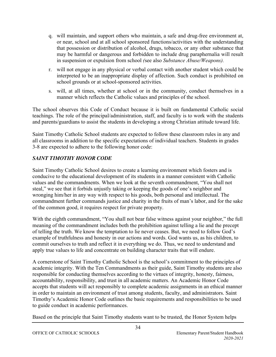- q. will maintain, and support others who maintain, a safe and drug-free environment at, or near, school and at all school sponsored functions/activities with the understanding that possession or distribution of alcohol, drugs, tobacco, or any other substance that may be harmful or dangerous and forbidden to include drug paraphernalia will result in suspension or expulsion from school *(*see also *Substance Abuse/Weapons).*
- r. will not engage in any physical or verbal contact with another student which could be interpreted to be an inappropriate display of affection. Such conduct is prohibited on school grounds or at school-sponsored activities.
- s. will, at all times, whether at school or in the community, conduct themselves in a manner which reflects the Catholic values and principles of the school.

The school observes this Code of Conduct because it is built on fundamental Catholic social teachings. The role of the principal/administration, staff, and faculty is to work with the students and parents/guardians to assist the students in developing a strong Christian attitude toward life.

Saint Timothy Catholic School students are expected to follow these classroom rules in any and all classrooms in addition to the specific expectations of individual teachers. Students in grades 3-8 are expected to adhere to the following honor code:

### *SAINT TIMOTHY HONOR CODE*

Saint Timothy Catholic School desires to create a learning environment which fosters and is conducive to the educational development of its students in a manner consistent with Catholic values and the commandments. When we look at the seventh commandment, "You shall not steal," we see that it forbids unjustly taking or keeping the goods of one's neighbor and wronging him/her in any way with respect to his goods, both personal and intellectual. The commandment further commands justice and charity in the fruits of man's labor, and for the sake of the common good, it requires respect for private property.

With the eighth commandment, "You shall not bear false witness against your neighbor," the full meaning of the commandment includes both the prohibition against telling a lie and the precept of telling the truth. We know the temptation to lie never ceases. But, we need to follow God's example of truthfulness and honesty in our actions and words. God wants us, as his children, to commit ourselves to truth and reflect it in everything we do. Thus, we need to understand and apply true values to life and concentrate on building character traits that will endure.

A cornerstone of Saint Timothy Catholic School is the school's commitment to the principles of academic integrity. With the Ten Commandments as their guide, Saint Timothy students are also responsible for conducting themselves according to the virtues of integrity, honesty, fairness, accountability, responsibility, and trust in all academic matters. An Academic Honor Code accepts that students will act responsibly to complete academic assignments in an ethical manner in order to maintain an environment of trust among students, faculty, and administrators. Saint Timothy's Academic Honor Code outlines the basic requirements and responsibilities to be used to guide conduct in academic performances.

Based on the principle that Saint Timothy students want to be trusted, the Honor System helps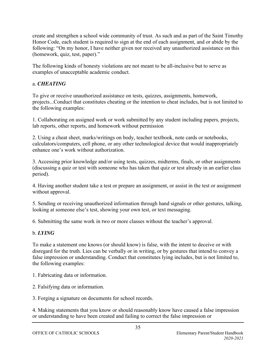create and strengthen a school wide community of trust. As such and as part of the Saint Timothy Honor Code, each student is required to sign at the end of each assignment, and or abide by the following: "On my honor, I have neither given nor received any unauthorized assistance on this (homework, quiz, test, paper)."

The following kinds of honesty violations are not meant to be all-inclusive but to serve as examples of unacceptable academic conduct.

### a. *CHEATING*

To give or receive unauthorized assistance on tests, quizzes, assignments, homework, projects...Conduct that constitutes cheating or the intention to cheat includes, but is not limited to the following examples:

1. Collaborating on assigned work or work submitted by any student including papers, projects, lab reports, other reports, and homework without permission

2. Using a cheat sheet, marks/writings on body, teacher textbook, note cards or notebooks, calculators/computers, cell phone, or any other technological device that would inappropriately enhance one's work without authorization.

3. Accessing prior knowledge and/or using tests, quizzes, midterms, finals, or other assignments (discussing a quiz or test with someone who has taken that quiz or test already in an earlier class period).

4. Having another student take a test or prepare an assignment, or assist in the test or assignment without approval.

5. Sending or receiving unauthorized information through hand signals or other gestures, talking, looking at someone else's test, showing your own test, or text messaging.

6. Submitting the same work in two or more classes without the teacher's approval.

### b. *LYING*

To make a statement one knows (or should know) is false, with the intent to deceive or with disregard for the truth. Lies can be verbally or in writing, or by gestures that intend to convey a false impression or understanding. Conduct that constitutes lying includes, but is not limited to, the following examples:

1. Fabricating data or information.

2. Falsifying data or information.

3. Forging a signature on documents for school records.

4. Making statements that you know or should reasonably know have caused a false impression or understanding to have been created and failing to correct the false impression or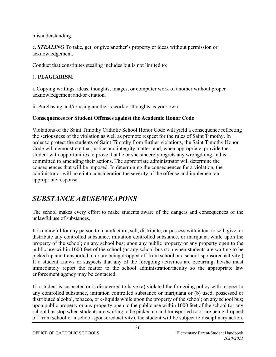misunderstanding.

c. *STEALING* To take, get, or give another's property or ideas without permission or acknowledgement.

Conduct that constitutes stealing includes but is not limited to:

### 1. **PLAGIARISM**

i. Copying writings, ideas, thoughts, images, or computer work of another without proper acknowledgement and/or citation.

ii. Purchasing and/or using another's work or thoughts as your own

### **Consequences for Student Offenses against the Academic Honor Code**

Violations of the Saint Timothy Catholic School Honor Code will yield a consequence reflecting the seriousness of the violation as well as promote respect for the rules of Saint Timothy. In order to protect the students of Saint Timothy from further violations, the Saint Timothy Honor Code will demonstrate that justice and integrity matter, and, when appropriate, provide the student with opportunities to prove that he or she sincerely regrets any wrongdoing and is committed to amending their actions. The appropriate administrator will determine the consequences that will be imposed. In determining the consequences for a violation, the administrator will take into consideration the severity of the offense and implement an appropriate response.

# *SUBSTANCE ABUSE/WEAPONS*

The school makes every effort to make students aware of the dangers and consequences of the unlawful use of substances.

It is unlawful for any person to manufacture, sell, distribute, or possess with intent to sell, give, or distribute any controlled substance, imitation controlled substance, or marijuana while upon the property of the school; on any school bus; upon any public property or any property open to the public use within 1000 feet of the school (or any school bus stop when students are waiting to be picked up and transported to or are being dropped off from school or a school-sponsored activity.) If a student knows or suspects that any of the foregoing activities are occurring, he/she must immediately report the matter to the school administration/faculty so the appropriate law enforcement agency may be contacted.

If a student is suspected or is discovered to have (a) violated the foregoing policy with respect to any controlled substance, imitation controlled substance or marijuana or (b) used, possessed or distributed alcohol, tobacco, or e-liquids while upon the property of the school; on any school bus; upon public property or any property open to the public use within 1000 feet of the school (or any school bus stop when students are waiting to be picked up and transported to or are being dropped off from school or a school-sponsored activity), the student will be subject to disciplinary action,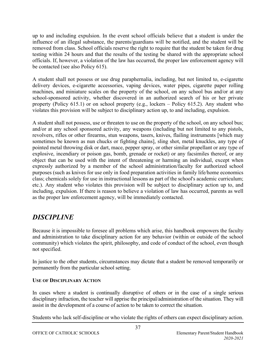up to and including expulsion. In the event school officials believe that a student is under the influence of an illegal substance, the parents/guardians will be notified, and the student will be removed from class. School officials reserve the right to require that the student be taken for drug testing within 24 hours and that the results of the testing be shared with the appropriate school officials. If, however, a violation of the law has occurred, the proper law enforcement agency will be contacted (see also Policy 615).

A student shall not possess or use drug paraphernalia, including, but not limited to, e-cigarette delivery devices, e-cigarette accessories, vaping devices, water pipes, cigarette paper rolling machines, and miniature scales on the property of the school, on any school bus and/or at any school-sponsored activity, whether discovered in an authorized search of his or her private property (Policy 615.1) or on school property (e.g., lockers – Policy 615.2). Any student who violates this provision will be subject to disciplinary action up, to and including, expulsion.

A student shall not possess, use or threaten to use on the property of the school, on any school bus; and/or at any school sponsored activity, any weapons (including but not limited to any pistols, revolvers, rifles or other firearms, stun weapons, tasers, knives, flailing instruments [which may sometimes be known as nun chucks or fighting chains], sling shot, metal knuckles, any type of pointed metal throwing disk or dart, mace, pepper spray, or other similar propellant or any type of explosive, incendiary or poison gas, bomb, grenade or rocket) or any facsimiles thereof, or any object that can be used with the intent of threatening or harming an individual, except when expressly authorized by a member of the school administration/faculty for authorized school purposes (such as knives for use only in food preparation activities in family life/home economics class; chemicals solely for use in instructional lessons as part of the school's academic curriculum; etc.). Any student who violates this provision will be subject to disciplinary action up to, and including, expulsion. If there is reason to believe a violation of law has occurred, parents as well as the proper law enforcement agency, will be immediately contacted.

### *DISCIPLINE*

Because it is impossible to foresee all problems which arise, this handbook empowers the faculty and administration to take disciplinary action for any behavior (within or outside of the school community) which violates the spirit, philosophy, and code of conduct of the school, even though not specified.

In justice to the other students, circumstances may dictate that a student be removed temporarily or permanently from the particular school setting.

### **USE OF DISCIPLINARY ACTION**

In cases where a student is continually disruptive of others or in the case of a single serious disciplinary infraction, the teacher will apprise the principal/administration of the situation. They will assist in the development of a course of action to be taken to correct the situation.

Students who lack self-discipline or who violate the rights of others can expect disciplinary action.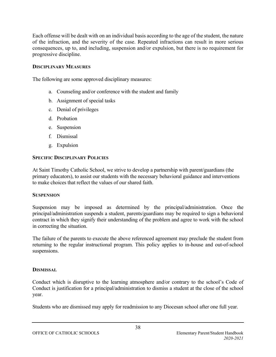Each offense will be dealt with on an individual basis according to the age of the student, the nature of the infraction, and the severity of the case. Repeated infractions can result in more serious consequences, up to, and including, suspension and/or expulsion, but there is no requirement for progressive discipline.

### **DISCIPLINARY MEASURES**

The following are some approved disciplinary measures:

- a. Counseling and/or conference with the student and family
- b. Assignment of special tasks
- c. Denial of privileges
- d. Probation
- e. Suspension
- f. Dismissal
- g. Expulsion

### **SPECIFIC DISCIPLINARY POLICIES**

At Saint Timothy Catholic School, we strive to develop a partnership with parent/guardians (the primary educators), to assist our students with the necessary behavioral guidance and interventions to make choices that reflect the values of our shared faith.

### **SUSPENSION**

Suspension may be imposed as determined by the principal/administration. Once the principal/administration suspends a student, parents/guardians may be required to sign a behavioral contract in which they signify their understanding of the problem and agree to work with the school in correcting the situation.

The failure of the parents to execute the above referenced agreement may preclude the student from returning to the regular instructional program. This policy applies to in-house and out-of-school suspensions.

### **DISMISSAL**

Conduct which is disruptive to the learning atmosphere and/or contrary to the school's Code of Conduct is justification for a principal/administration to dismiss a student at the close of the school year.

Students who are dismissed may apply for readmission to any Diocesan school after one full year.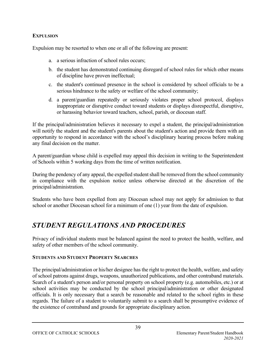### **EXPULSION**

Expulsion may be resorted to when one or all of the following are present:

- a. a serious infraction of school rules occurs;
- b. the student has demonstrated continuing disregard of school rules for which other means of discipline have proven ineffectual;
- c. the student's continued presence in the school is considered by school officials to be a serious hindrance to the safety or welfare of the school community;
- d. a parent/guardian repeatedly or seriously violates proper school protocol, displays inappropriate or disruptive conduct toward students or displays disrespectful, disruptive, or harassing behavior toward teachers, school, parish, or diocesan staff.

If the principal/administration believes it necessary to expel a student, the principal/administration will notify the student and the student's parents about the student's action and provide them with an opportunity to respond in accordance with the school's disciplinary hearing process before making any final decision on the matter.

A parent/guardian whose child is expelled may appeal this decision in writing to the Superintendent of Schools within 5 working days from the time of written notification.

During the pendency of any appeal, the expelled student shall be removed from the school community in compliance with the expulsion notice unless otherwise directed at the discretion of the principal/administration.

Students who have been expelled from any Diocesan school may not apply for admission to that school or another Diocesan school for a minimum of one (1) year from the date of expulsion.

# *STUDENT REGULATIONS AND PROCEDURES*

Privacy of individual students must be balanced against the need to protect the health, welfare, and safety of other members of the school community.

#### **STUDENTS AND STUDENT PROPERTY SEARCHES**

The principal/administration or his/her designee has the right to protect the health, welfare, and safety of school patrons against drugs, weapons, unauthorized publications, and other contraband materials. Search of a student's person and/or personal property on school property (e.g. automobiles, etc.) or at school activities may be conducted by the school principal/administration or other designated officials. It is only necessary that a search be reasonable and related to the school rights in these regards. The failure of a student to voluntarily submit to a search shall be presumptive evidence of the existence of contraband and grounds for appropriate disciplinary action.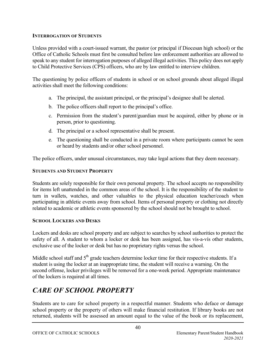### **INTERROGATION OF STUDENTS**

Unless provided with a court-issued warrant, the pastor (or principal if Diocesan high school) or the Office of Catholic Schools must first be consulted before law enforcement authorities are allowed to speak to any student for interrogation purposes of alleged illegal activities. This policy does not apply to Child Protective Services (CPS) officers, who are by law entitled to interview children.

The questioning by police officers of students in school or on school grounds about alleged illegal activities shall meet the following conditions:

- a. The principal, the assistant principal, or the principal's designee shall be alerted.
- b. The police officers shall report to the principal's office.
- c. Permission from the student's parent/guardian must be acquired, either by phone or in person, prior to questioning.
- d. The principal or a school representative shall be present.
- e. The questioning shall be conducted in a private room where participants cannot be seen or heard by students and/or other school personnel.

The police officers, under unusual circumstances, may take legal actions that they deem necessary.

### **STUDENTS AND STUDENT PROPERTY**

Students are solely responsible for their own personal property. The school accepts no responsibility for items left unattended in the common areas of the school. It is the responsibility of the student to turn in wallets, watches, and other valuables to the physical education teacher/coach when participating in athletic events away from school. Items of personal property or clothing not directly related to academic or athletic events sponsored by the school should not be brought to school.

### **SCHOOL LOCKERS AND DESKS**

Lockers and desks are school property and are subject to searches by school authorities to protect the safety of all. A student to whom a locker or desk has been assigned, has vís-a-vís other students, exclusive use of the locker or desk but has no proprietary rights versus the school.

Middle school staff and  $5<sup>th</sup>$  grade teachers determine locker time for their respective students. If a student is using the locker at an inappropriate time, the student will receive a warning. On the second offense, locker privileges will be removed for a one-week period. Appropriate maintenance of the lockers is required at all times.

# *CARE OF SCHOOL PROPERTY*

Students are to care for school property in a respectful manner. Students who deface or damage school property or the property of others will make financial restitution. If library books are not returned, students will be assessed an amount equal to the value of the book or its replacement,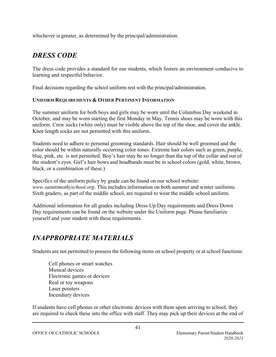whichever is greater, as determined by the principal/administration.

# *DRESS CODE*

The dress code provides a standard for our students, which fosters an environment conducive to learning and respectful behavior.

Final decisions regarding the school uniform rest with the principal/administration.

### **UNIFORM REQUIREMENTS & OTHER PERTINENT INFORMATION**

The summer uniform for both boys and girls may be worn until the Columbus Day weekend in October, and may be worn starting the first Monday in May. Tennis shoes may be worn with this uniform. Crew socks (white only) must be visible above the top of the shoe, and cover the ankle. Knee length socks are not permitted with this uniform.

Students need to adhere to personal grooming standards. Hair should be well groomed and the color should be within naturally occurring color tones. Extreme hair colors such as green, purple, blue, pink, etc. is not permitted. Boy's hair may be no longer than the top of the collar and out of the student's eyes. Girl's hair bows and headbands must be in school colors (gold, white, brown, black, or a combination of these.)

Specifics of the uniform policy by grade can be found on our school website: *www.sainttimothyschool.org*. This includes information on both summer and winter uniforms. Sixth graders, as part of the middle school, are required to wear the middle school uniform.

Additional information for all grades including Dress Up Day requirements and Dress Down Day requirements can be found on the website under the Uniform page. Please familiarize yourself and your student with these requirements.

### *INAPPROPRIATE MATERIALS*

Students are not permitted to possess the following items on school property or at school functions:

Cell phones or smart watches Musical devices Electronic games or devices Real or toy weapons Laser pointers Incendiary devices

If students have cell phones or other electronic devices with them upon arriving to school, they are required to check these into the office with staff. They may pick up their devices at the end of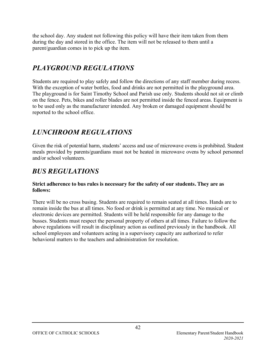the school day. Any student not following this policy will have their item taken from them during the day and stored in the office. The item will not be released to them until a parent/guardian comes in to pick up the item.

### *PLAYGROUND REGULATIONS*

Students are required to play safely and follow the directions of any staff member during recess. With the exception of water bottles, food and drinks are not permitted in the playground area. The playground is for Saint Timothy School and Parish use only. Students should not sit or climb on the fence. Pets, bikes and roller blades are not permitted inside the fenced areas. Equipment is to be used only as the manufacturer intended. Any broken or damaged equipment should be reported to the school office.

# *LUNCHROOM REGULATIONS*

Given the risk of potential harm, students' access and use of microwave ovens is prohibited. Student meals provided by parents/guardians must not be heated in microwave ovens by school personnel and/or school volunteers.

### *BUS REGULATIONS*

### **Strict adherence to bus rules is necessary for the safety of our students. They are as follows:**

There will be no cross busing. Students are required to remain seated at all times. Hands are to remain inside the bus at all times. No food or drink is permitted at any time. No musical or electronic devices are permitted. Students will be held responsible for any damage to the busses. Students must respect the personal property of others at all times. Failure to follow the above regulations will result in disciplinary action as outlined previously in the handbook. All school employees and volunteers acting in a supervisory capacity are authorized to refer behavioral matters to the teachers and administration for resolution.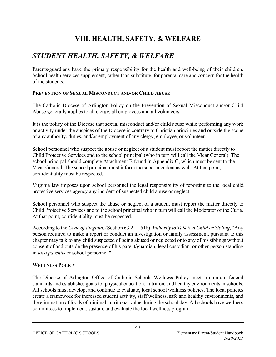# **VIII. HEALTH, SAFETY, & WELFARE**

### *STUDENT HEALTH, SAFETY, & WELFARE*

Parents/guardians have the primary responsibility for the health and well-being of their children. School health services supplement, rather than substitute, for parental care and concern for the health of the students.

### **PREVENTION OF SEXUAL MISCONDUCT AND/OR CHILD ABUSE**

The Catholic Diocese of Arlington Policy on the Prevention of Sexual Misconduct and/or Child Abuse generally applies to all clergy, all employees and all volunteers.

It is the policy of the Diocese that sexual misconduct and/or child abuse while performing any work or activity under the auspices of the Diocese is contrary to Christian principles and outside the scope of any authority, duties, and/or employment of any clergy, employee, or volunteer.

School personnel who suspect the abuse or neglect of a student must report the matter directly to Child Protective Services and to the school principal (who in turn will call the Vicar General). The school principal should complete Attachment B found in Appendix G, which must be sent to the Vicar General. The school principal must inform the superintendent as well. At that point, confidentiality must be respected.

Virginia law imposes upon school personnel the legal responsibility of reporting to the local child protective services agency any incident of suspected child abuse or neglect.

School personnel who suspect the abuse or neglect of a student must report the matter directly to Child Protective Services and to the school principal who in turn will call the Moderator of the Curia. At that point, confidentiality must be respected.

According to the *Code of Virginia*, (Section 63.2 – 1518) *Authority to Talk to a Child or Sibling*, "Any person required to make a report or conduct an investigation or family assessment, pursuant to this chapter may talk to any child suspected of being abused or neglected or to any of his siblings without consent of and outside the presence of his parent/guardian, legal custodian, or other person standing in *loco parentis* or school personnel."

### **WELLNESS POLICY**

The Diocese of Arlington Office of Catholic Schools Wellness Policy meets minimum federal standards and establishes goals for physical education, nutrition, and healthy environments in schools. All schools must develop, and continue to evaluate, local school wellness policies. The local policies create a framework for increased student activity, staff wellness, safe and healthy environments, and the elimination of foods of minimal nutritional value during the school day. All schools have wellness committees to implement, sustain, and evaluate the local wellness program.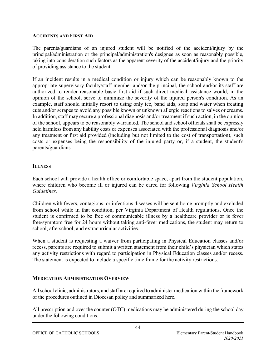#### **ACCIDENTS AND FIRST AID**

The parents/guardians of an injured student will be notified of the accident/injury by the principal/administration or the principal/administration's designee as soon as reasonably possible, taking into consideration such factors as the apparent severity of the accident/injury and the priority of providing assistance to the student.

If an incident results in a medical condition or injury which can be reasonably known to the appropriate supervisory faculty/staff member and/or the principal, the school and/or its staff are authorized to render reasonable basic first aid if such direct medical assistance would, in the opinion of the school, serve to minimize the severity of the injured person's condition. As an example, staff should initially resort to using only ice, band aids, soap and water when treating cuts and/or scrapes to avoid any possible known or unknown allergic reactions to salves or creams. In addition, staff may secure a professional diagnosis and/or treatment if such action, in the opinion of the school, appears to be reasonably warranted. The school and school officials shall be expressly held harmless from any liability costs or expenses associated with the professional diagnosis and/or any treatment or first aid provided (including but not limited to the cost of transportation), such costs or expenses being the responsibility of the injured party or, if a student, the student's parents/guardians.

#### **ILLNESS**

Each school will provide a health office or comfortable space, apart from the student population, where children who become ill or injured can be cared for following *Virginia School Health Guidelines.*

Children with fevers, contagious, or infectious diseases will be sent home promptly and excluded from school while in that condition, per Virginia Department of Health regulations. Once the student is confirmed to be free of communicable illness by a healthcare provider or is fever free/symptom free for 24 hours without taking anti-fever medications, the student may return to school, afterschool, and extracurricular activities.

When a student is requesting a waiver from participating in Physical Education classes and/or recess, parents are required to submit a written statement from their child's physician which states any activity restrictions with regard to participation in Physical Education classes and/or recess. The statement is expected to include a specific time frame for the activity restrictions.

#### **MEDICATION ADMINISTRATION OVERVIEW**

All school clinic, administrators, and staff are required to administer medication within the framework of the procedures outlined in Diocesan policy and summarized here.

All prescription and over the counter (OTC) medications may be administered during the school day under the following conditions: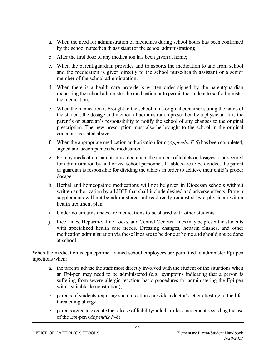- a. When the need for administration of medicines during school hours has been confirmed by the school nurse/health assistant (or the school administration);
- b. After the first dose of any medication has been given at home;
- c. When the parent/guardian provides and transports the medication to and from school and the medication is given directly to the school nurse/health assistant or a senior member of the school administration;
- d. When there is a health care provider's written order signed by the parent/guardian requesting the school administer the medication or to permit the student to self-administer the medication;
- e. When the medication is brought to the school in its original container stating the name of the student, the dosage and method of administration prescribed by a physician. It is the parent's or guardian's responsibility to notify the school of any changes to the original prescription. The new prescription must also be brought to the school in the original container as stated above;
- f. When the appropriate medication authorization form (*Appendix F-6*) has been completed, signed and accompanies the medication.
- g. For any medication, parents must document the number of tablets or dosages to be secured for administration by authorized school personnel. If tablets are to be divided, the parent or guardian is responsible for dividing the tablets in order to achieve their child's proper dosage.
- h. Herbal and homeopathic medications will not be given in Diocesan schools without written authorization by a LHCP that shall include desired and adverse effects. Protein supplements will not be administered unless directly requested by a physician with a health treatment plan.
- i. Under no circumstances are medications to be shared with other students.
- j. Picc Lines, Heparin/Saline Locks, and Central Venous Lines may be present in students with specialized health care needs. Dressing changes, heparin flushes, and other medication administration via these lines are to be done at home and should not be done at school.

When the medication is epinephrine, trained school employees are permitted to administer Epi-pen injections when:

- a. the parents advise the staff most directly involved with the student of the situations when an Epi-pen may need to be administered (e.g., symptoms indicating that a person is suffering from severe allergic reaction, basic procedures for administering the Epi-pen with a suitable demonstration);
- b. parents of students requiring such injections provide a doctor's letter attesting to the lifethreatening allergy;
- c. parents agree to execute the release of liability/hold harmless agreement regarding the use of the Epi-pen (*Appendix F-6*).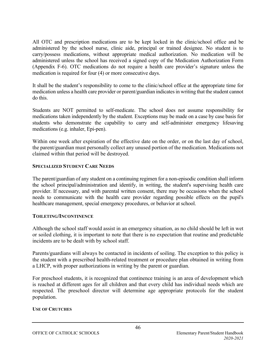All OTC and prescription medications are to be kept locked in the clinic/school office and be administered by the school nurse, clinic aide, principal or trained designee. No student is to carry/possess medications, without appropriate medical authorization. No medication will be administered unless the school has received a signed copy of the Medication Authorization Form (Appendix F-6). OTC medications do not require a health care provider's signature unless the medication is required for four (4) or more consecutive days.

It shall be the student's responsibility to come to the clinic/school office at the appropriate time for medication unless a health care provider or parent/guardian indicates in writing that the student cannot do this.

Students are NOT permitted to self-medicate. The school does not assume responsibility for medications taken independently by the student. Exceptions may be made on a case by case basis for students who demonstrate the capability to carry and self-administer emergency lifesaving medications (e.g. inhaler, Epi-pen).

Within one week after expiration of the effective date on the order, or on the last day of school, the parent/guardian must personally collect any unused portion of the medication. Medications not claimed within that period will be destroyed.

#### **SPECIALIZED STUDENT CARE NEEDS**

The parent/guardian of any student on a continuing regimen for a non-episodic condition shall inform the school principal/administration and identify, in writing, the student's supervising health care provider. If necessary, and with parental written consent, there may be occasions when the school needs to communicate with the health care provider regarding possible effects on the pupil's healthcare management, special emergency procedures, or behavior at school.

#### **TOILETING/INCONTINENCE**

Although the school staff would assist in an emergency situation, as no child should be left in wet or soiled clothing, it is important to note that there is no expectation that routine and predictable incidents are to be dealt with by school staff.

Parents/guardians will always be contacted in incidents of soiling. The exception to this policy is the student with a prescribed health-related treatment or procedure plan obtained in writing from a LHCP, with proper authorizations in writing by the parent or guardian.

For preschool students, it is recognized that continence training is an area of development which is reached at different ages for all children and that every child has individual needs which are respected. The preschool director will determine age appropriate protocols for the student population.

#### **USE OF CRUTCHES**

*2020-2021*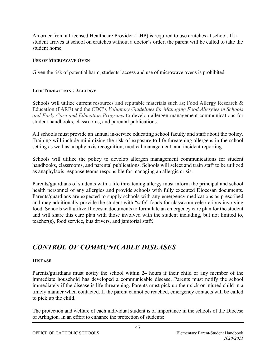An order from a Licensed Healthcare Provider (LHP) is required to use crutches at school. If a student arrives at school on crutches without a doctor's order, the parent will be called to take the student home.

#### **USE OF MICROWAVE OVEN**

Given the risk of potential harm, students' access and use of microwave ovens is prohibited.

#### **LIFE THREATENING ALLERGY**

Schools will utilize current resources and reputable materials such as; Food Allergy Research & Education (FARE) and the CDC's *Voluntary Guidelines for Managing Food Allergies in Schools and Early Care and Education Programs* to develop allergen management communications for student handbooks, classrooms, and parental publications.

All schools must provide an annual in-service educating school faculty and staff about the policy. Training will include minimizing the risk of exposure to life threatening allergens in the school setting as well as anaphylaxis recognition, medical management, and incident reporting.

Schools will utilize the policy to develop allergen management communications for student handbooks, classrooms, and parental publications. Schools will select and train staff to be utilized as anaphylaxis response teams responsible for managing an allergic crisis.

Parents/guardians of students with a life threatening allergy must inform the principal and school health personnel of any allergies and provide schools with fully executed Diocesan documents. Parents/guardians are expected to supply schools with any emergency medications as prescribed and may additionally provide the student with "safe" foods for classroom celebrations involving food. Schools will utilize Diocesan documents to formulate an emergency care plan for the student and will share this care plan with those involved with the student including, but not limited to, teacher(s), food service, bus drivers, and janitorial staff.

### *CONTROL OF COMMUNICABLE DISEASES*

#### **DISEASE**

Parents/guardians must notify the school within 24 hours if their child or any member of the immediate household has developed a communicable disease. Parents must notify the school immediately if the disease is life threatening. Parents must pick up their sick or injured child in a timely manner when contacted. If the parent cannot be reached, emergency contacts will be called to pick up the child.

The protection and welfare of each individual student is of importance in the schools of the Diocese of Arlington. In an effort to enhance the protection of students: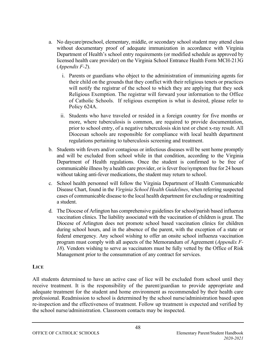- a. No daycare/preschool, elementary, middle, or secondary school student may attend class without documentary proof of adequate immunization in accordance with Virginia Department of Health's school entry requirements (or modified schedule as approved by licensed health care provider) on the Virginia School Entrance Health Form MCH-213G (*Appendix F-2*).
	- i. Parents or guardians who object to the administration of immunizing agents for their child on the grounds that they conflict with their religious tenets or practices will notify the registrar of the school to which they are applying that they seek Religious Exemption. The registrar will forward your information to the Office of Catholic Schools. If religious exemption is what is desired, please refer to Policy 624A.
	- ii. Students who have traveled or resided in a foreign country for five months or more, where tuberculosis is common, are required to provide documentation, prior to school entry, of a negative tuberculosis skin test or chest x-ray result. All Diocesan schools are responsible for compliance with local health department regulations pertaining to tuberculosis screening and treatment.
- b. Students with fevers and/or contagious or infectious diseases will be sent home promptly and will be excluded from school while in that condition, according to the Virginia Department of Health regulations. Once the student is confirmed to be free of communicable illness by a health care provider, or is fever free/symptom free for 24 hours without taking anti-fever medications, the student may return to school.
- c. School health personnel will follow the Virginia Department of Health Communicable Disease Chart, found in the *Virginia School Health Guidelines*, when referring suspected cases of communicable disease to the local health department for excluding or readmitting a student.
- d. The Diocese of Arlington has comprehensive guidelines for school/parish based influenza vaccination clinics. The liability associated with the vaccination of children is great. The Diocese of Arlington does not promote school based vaccination clinics for children during school hours, and in the absence of the parent, with the exception of a state or federal emergency. Any school wishing to offer an onsite school influenza vaccination program must comply with all aspects of the Memorandum of Agreement (*Appendix F-18*). Vendors wishing to serve as vaccinators must be fully vetted by the Office of Risk Management prior to the consummation of any contract for services.

### **LICE**

All students determined to have an active case of lice will be excluded from school until they receive treatment. It is the responsibility of the parent/guardian to provide appropriate and adequate treatment for the student and home environment as recommended by their health care professional. Readmission to school is determined by the school nurse/administration based upon re-inspection and the effectiveness of treatment. Follow up treatment is expected and verified by the school nurse/administration. Classroom contacts may be inspected.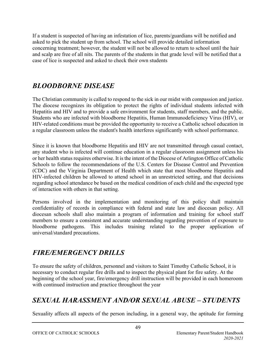If a student is suspected of having an infestation of lice, parents/guardians will be notified and asked to pick the student up from school. The school will provide detailed information concerning treatment; however, the student will not be allowed to return to school until the hair and scalp are free of all nits. The parents of the students in that grade level will be notified that a case of lice is suspected and asked to check their own students

### *BLOODBORNE DISEASE*

The Christian community is called to respond to the sick in our midst with compassion and justice. The diocese recognizes its obligation to protect the rights of individual students infected with Hepatitis and HIV and to provide a safe environment for students, staff members, and the public. Students who are infected with bloodborne Hepatitis, Human Immunodeficiency Virus (HIV), or HIV-related conditions must be provided the opportunity to receive a Catholic school education in a regular classroom unless the student's health interferes significantly with school performance.

Since it is known that bloodborne Hepatitis and HIV are not transmitted through casual contact, any student who is infected will continue education in a regular classroom assignment unless his or her health status requires otherwise. It is the intent of the Diocese of Arlington Office of Catholic Schools to follow the recommendations of the U.S. Centers for Disease Control and Prevention (CDC) and the Virginia Department of Health which state that most bloodborne Hepatitis and HIV-infected children be allowed to attend school in an unrestricted setting, and that decisions regarding school attendance be based on the medical condition of each child and the expected type of interaction with others in that setting.

Persons involved in the implementation and monitoring of this policy shall maintain confidentiality of records in compliance with federal and state law and diocesan policy. All diocesan schools shall also maintain a program of information and training for school staff members to ensure a consistent and accurate understanding regarding prevention of exposure to bloodborne pathogens. This includes training related to the proper application of universal/standard precautions.

# *FIRE/EMERGENCY DRILLS*

To ensure the safety of children, personnel and visitors to Saint Timothy Catholic School, it is necessary to conduct regular fire drills and to inspect the physical plant for fire safety. At the beginning of the school year, fire/emergency drill instruction will be provided in each homeroom with continued instruction and practice throughout the year

# *SEXUAL HARASSMENT AND/OR SEXUAL ABUSE – STUDENTS*

Sexuality affects all aspects of the person including, in a general way, the aptitude for forming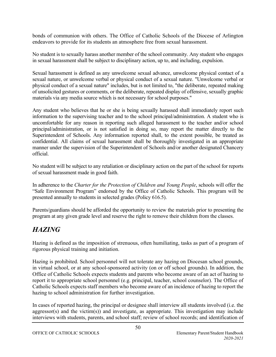bonds of communion with others. The Office of Catholic Schools of the Diocese of Arlington endeavors to provide for its students an atmosphere free from sexual harassment.

No student is to sexually harass another member of the school community. Any student who engages in sexual harassment shall be subject to disciplinary action, up to, and including, expulsion.

Sexual harassment is defined as any unwelcome sexual advance, unwelcome physical contact of a sexual nature, or unwelcome verbal or physical conduct of a sexual nature. "Unwelcome verbal or physical conduct of a sexual nature" includes, but is not limited to, "the deliberate, repeated making of unsolicited gestures or comments, or the deliberate, repeated display of offensive, sexually graphic materials via any media source which is not necessary for school purposes."

Any student who believes that he or she is being sexually harassed shall immediately report such information to the supervising teacher and to the school principal/administration. A student who is uncomfortable for any reason in reporting such alleged harassment to the teacher and/or school principal/administration, or is not satisfied in doing so, may report the matter directly to the Superintendent of Schools. Any information reported shall, to the extent possible, be treated as confidential. All claims of sexual harassment shall be thoroughly investigated in an appropriate manner under the supervision of the Superintendent of Schools and/or another designated Chancery official.

No student will be subject to any retaliation or disciplinary action on the part of the school for reports of sexual harassment made in good faith.

In adherence to the *Charter for the Protection of Children and Young People*, schools will offer the "Safe Environment Program" endorsed by the Office of Catholic Schools. This program will be presented annually to students in selected grades (Policy 616.5).

Parents/guardians should be afforded the opportunity to review the materials prior to presenting the program at any given grade level and reserve the right to remove their children from the classes.

# *HAZING*

Hazing is defined as the imposition of strenuous, often humiliating, tasks as part of a program of rigorous physical training and initiation.

Hazing is prohibited. School personnel will not tolerate any hazing on Diocesan school grounds, in virtual school, or at any school-sponsored activity (on or off school grounds). In addition, the Office of Catholic Schools expects students and parents who become aware of an act of hazing to report it to appropriate school personnel (e.g. principal, teacher, school counselor). The Office of Catholic Schools expects staff members who become aware of an incidence of hazing to report the hazing to school administration for further investigation.

In cases of reported hazing, the principal or designee shall interview all students involved (i.e. the aggressor(s) and the victim(s)) and investigate, as appropriate. This investigation may include interviews with students, parents, and school staff; review of school records; and identification of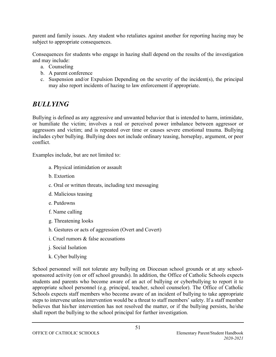parent and family issues. Any student who retaliates against another for reporting hazing may be subject to appropriate consequences.

Consequences for students who engage in hazing shall depend on the results of the investigation and may include:

- a. Counseling
- b. A parent conference
- c. Suspension and/or Expulsion Depending on the severity of the incident(s), the principal may also report incidents of hazing to law enforcement if appropriate.

# *BULLYING*

Bullying is defined as any aggressive and unwanted behavior that is intended to harm, intimidate, or humiliate the victim; involves a real or perceived power imbalance between aggressor or aggressors and victim; and is repeated over time or causes severe emotional trauma. Bullying includes cyber bullying. Bullying does not include ordinary teasing, horseplay, argument, or peer conflict.

Examples include, but are not limited to:

- a. Physical intimidation or assault
- b. Extortion
- c. Oral or written threats, including text messaging
- d. Malicious teasing
- e. Putdowns
- f. Name calling
- g. Threatening looks
- h. Gestures or acts of aggression (Overt and Covert)
- i. Cruel rumors & false accusations
- j. Social Isolation
- k. Cyber bullying

School personnel will not tolerate any bullying on Diocesan school grounds or at any schoolsponsored activity (on or off school grounds). In addition, the Office of Catholic Schools expects students and parents who become aware of an act of bullying or cyberbullying to report it to appropriate school personnel (e.g. principal, teacher, school counselor). The Office of Catholic Schools expects staff members who become aware of an incident of bullying to take appropriate steps to intervene unless intervention would be a threat to staff members' safety. If a staff member believes that his/her intervention has not resolved the matter, or if the bullying persists, he/she shall report the bullying to the school principal for further investigation.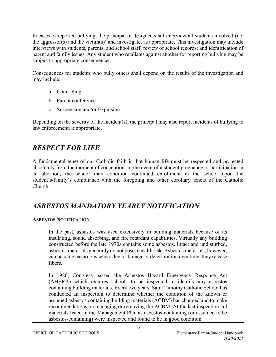In cases of reported bullying, the principal or designee shall interview all students involved (i.e. the aggressor(s) and the victim(s)) and investigate, as appropriate. This investigation may include interviews with students, parents, and school staff; review of school records; and identification of parent and family issues. Any student who retaliates against another for reporting bullying may be subject to appropriate consequences.

Consequences for students who bully others shall depend on the results of the investigation and may include:

- a. Counseling
- b. Parent conference
- c. Suspension and/or Expulsion

Depending on the severity of the incident(s), the principal may also report incidents of bullying to law enforcement, if appropriate.

### *RESPECT FOR LIFE*

A fundamental tenet of our Catholic faith is that human life must be respected and protected absolutely from the moment of conception. In the event of a student pregnancy or participation in an abortion, the school may condition continued enrollment in the school upon the student's/family's compliance with the foregoing and other corollary tenets of the Catholic Church.

### *ASBESTOS MANDATORY YEARLY NOTIFICATION*

### **ASBESTOS NOTIFICATION**

In the past, asbestos was used extensively in building materials because of its insulating, sound absorbing, and fire retardant capabilities. Virtually any building constructed before the late 1970s contains some asbestos. Intact and undisturbed, asbestos materials generally do not pose a health risk. Asbestos materials, however, can become hazardous when, due to damage or deterioration over time, they release fibers.

In 1986, Congress passed the Asbestos Hazard Emergency Response Act (AHERA) which requires schools to be inspected to identify any asbestos containing building materials. Every two years, Saint Timothy Catholic School has conducted an inspection to determine whether the condition of the known or assumed asbestos containing building materials (ACBM) has changed and to make recommendations on managing or removing the ACBM. At the last inspection, all materials listed in the Management Plan as asbestos-containing (or assumed to be asbestos-containing) were inspected and found to be in good condition.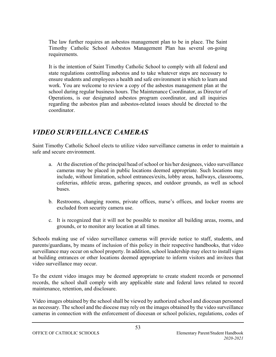The law further requires an asbestos management plan to be in place. The Saint Timothy Catholic School Asbestos Management Plan has several on-going requirements.

It is the intention of Saint Timothy Catholic School to comply with all federal and state regulations controlling asbestos and to take whatever steps are necessary to ensure students and employees a health and safe environment in which to learn and work. You are welcome to review a copy of the asbestos management plan at the school during regular business hours. The Maintenance Coordinator, as Director of Operations, is our designated asbestos program coordinator, and all inquiries regarding the asbestos plan and asbestos-related issues should be directed to the coordinator.

# *VIDEO SURVEILLANCE CAMERAS*

Saint Timothy Catholic School elects to utilize video surveillance cameras in order to maintain a safe and secure environment.

- a. At the discretion of the principal/head of school or his/her designees, video surveillance cameras may be placed in public locations deemed appropriate. Such locations may include, without limitation, school entrances/exits, lobby areas, hallways, classrooms, cafeterias, athletic areas, gathering spaces, and outdoor grounds, as well as school buses.
- b. Restrooms, changing rooms, private offices, nurse's offices, and locker rooms are excluded from security camera use.
- c. It is recognized that it will not be possible to monitor all building areas, rooms, and grounds, or to monitor any location at all times.

Schools making use of video surveillance cameras will provide notice to staff, students, and parents/guardians, by means of inclusion of this policy in their respective handbooks, that video surveillance may occur on school property. In addition, school leadership may elect to install signs at building entrances or other locations deemed appropriate to inform visitors and invitees that video surveillance may occur.

To the extent video images may be deemed appropriate to create student records or personnel records, the school shall comply with any applicable state and federal laws related to record maintenance, retention, and disclosure.

Video images obtained by the school shall be viewed by authorized school and diocesan personnel as necessary. The school and the diocese may rely on the images obtained by the video surveillance cameras in connection with the enforcement of diocesan or school policies, regulations, codes of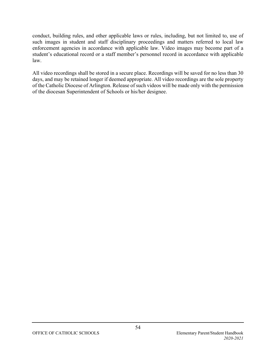conduct, building rules, and other applicable laws or rules, including, but not limited to, use of such images in student and staff disciplinary proceedings and matters referred to local law enforcement agencies in accordance with applicable law. Video images may become part of a student's educational record or a staff member's personnel record in accordance with applicable law.

All video recordings shall be stored in a secure place. Recordings will be saved for no less than 30 days, and may be retained longer if deemed appropriate. All video recordings are the sole property of the Catholic Diocese of Arlington. Release of such videos will be made only with the permission of the diocesan Superintendent of Schools or his/her designee.

54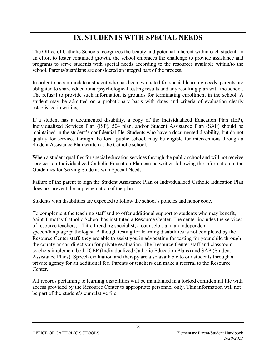# **IX. STUDENTS WITH SPECIAL NEEDS**

The Office of Catholic Schools recognizes the beauty and potential inherent within each student. In an effort to foster continued growth, the school embraces the challenge to provide assistance and programs to serve students with special needs according to the resources available within/to the school. Parents/guardians are considered an integral part of the process.

In order to accommodate a student who has been evaluated for special learning needs, parents are obligated to share educational/psychological testing results and any resulting plan with the school. The refusal to provide such information is grounds for terminating enrollment in the school. A student may be admitted on a probationary basis with dates and criteria of evaluation clearly established in writing.

If a student has a documented disability, a copy of the Individualized Education Plan (IEP), Individualized Services Plan (ISP), 504 plan, and/or Student Assistance Plan (SAP) should be maintained in the student's confidential file. Students who have a documented disability, but do not qualify for services through the local public school, may be eligible for interventions through a Student Assistance Plan written at the Catholic school.

When a student qualifies for special education services through the public school and will not receive services, an Individualized Catholic Education Plan can be written following the information in the Guidelines for Serving Students with Special Needs.

Failure of the parent to sign the Student Assistance Plan or Individualized Catholic Education Plan does not prevent the implementation of the plan.

Students with disabilities are expected to follow the school's policies and honor code.

To complement the teaching staff and to offer additional support to students who may benefit, Saint Timothy Catholic School has instituted a Resource Center. The center includes the services of resource teachers, a Title I reading specialist, a counselor, and an independent speech/language pathologist. Although testing for learning disabilities is not completed by the Resource Center staff, they are able to assist you in advocating for testing for your child through the county or can direct you for private evaluation. The Resource Center staff and classroom teachers implement both ICEP (Individualized Catholic Education Plans) and SAP (Student Assistance Plans). Speech evaluation and therapy are also available to our students through a private agency for an additional fee. Parents or teachers can make a referral to the Resource Center.

All records pertaining to learning disabilities will be maintained in a locked confidential file with access provided by the Resource Center to appropriate personnel only. This information will not be part of the student's cumulative file.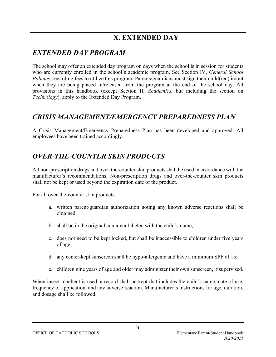# **X. EXTENDED DAY**

# *EXTENDED DAY PROGRAM*

The school may offer an extended day program on days when the school is in session for students who are currently enrolled in the school's academic program. See Section IV, *General School Policies*, regarding fees to utilize this program. Parents/guardians must sign their child(ren) in/out when they are being placed in/released from the program at the end of the school day. All provisions in this handbook (except Section II, *Academics*, but including the section on *Technology*), apply to the Extended Day Program.

### *CRISIS MANAGEMENT/EMERGENCY PREPAREDNESS PLAN*

A Crisis Management/Emergency Preparedness Plan has been developed and approved. All employees have been trained accordingly.

### *OVER-THE-COUNTER SKIN PRODUCTS*

All non-prescription drugs and over-the-counter skin products shall be used in accordance with the manufacturer's recommendations. Non-prescription drugs and over-the-counter skin products shall not be kept or used beyond the expiration date of the product.

For all over-the-counter skin products:

- a. written parent/guardian authorization noting any known adverse reactions shall be obtained;
- b. shall be in the original container labeled with the child's name;
- c. does not need to be kept locked, but shall be inaccessible to children under five years of age;
- d. any center-kept sunscreen shall be hypo-allergenic and have a minimum SPF of 15;
- e. children nine years of age and older may administer their own sunscreen, if supervised.

When insect repellent is used, a record shall be kept that includes the child's name, date of use, frequency of application, and any adverse reaction. Manufacturer's instructions for age, duration, and dosage shall be followed.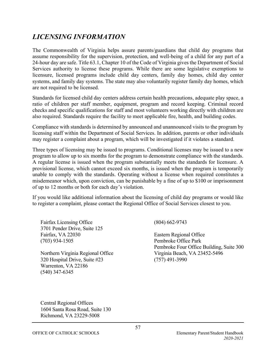### *LICENSING INFORMATION*

The Commonwealth of Virginia helps assure parents/guardians that child day programs that assume responsibility for the supervision, protection, and well-being of a child for any part of a 24-hour day are safe. Title 63.1, Chapter 10 of the Code of Virginia gives the Department of Social Services authority to license these programs. While there are some legislative exemptions to licensure, licensed programs include child day centers, family day homes, child day center systems, and family day systems. The state may also voluntarily register family day homes, which are not required to be licensed.

Standards for licensed child day centers address certain health precautions, adequate play space, a ratio of children per staff member, equipment, program and record keeping. Criminal record checks and specific qualifications for staff and most volunteers working directly with children are also required. Standards require the facility to meet applicable fire, health, and building codes.

Compliance with standards is determined by announced and unannounced visits to the program by licensing staff within the Department of Social Services. In addition, parents or other individuals may register a complaint about a program, which will be investigated if it violates a standard.

Three types of licensing may be issued to programs. Conditional licenses may be issued to a new program to allow up to six months for the program to demonstrate compliance with the standards. A regular license is issued when the program substantially meets the standards for licensure. A provisional license, which cannot exceed six months, is issued when the program is temporarily unable to comply with the standards. Operating without a license when required constitutes a misdemeanor which, upon conviction, can be punishable by a fine of up to \$100 or imprisonment of up to 12 months or both for each day's violation.

If you would like additional information about the licensing of child day programs or would like to register a complaint, please contact the Regional Office of Social Services closest to you.

Fairfax Licensing Office 3701 Pender Drive, Suite 125 Fairfax, VA 22030 (703) 934-1505

Northern Virginia Regional Office 320 Hospital Drive, Suite #23 Warrenton, VA 22186 (540) 347-6345

(804) 662-9743

Eastern Regional Office Pembroke Office Park Pembroke Four Office Building, Suite 300 Virginia Beach, VA 23452-5496 (757) 491-3990

Central Regional Offices 1604 Santa Rosa Road, Suite 130 Richmond, VA 23229-5008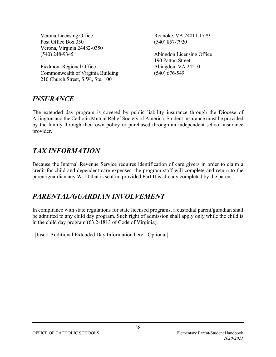Verona Licensing Office Post Office Box 350 Verona, Virginia 24482-0350 (540) 248-9345

Piedmont Regional Office Commonwealth of Virginia Building 210 Church Street, S.W., Ste. 100

Roanoke, VA 24011-1779 (540) 857-7920

Abingdon Licensing Office 190 Patton Street Abingdon, VA 24210 (540) 676-549

### *INSURANCE*

The extended day program is covered by public liability insurance through the Diocese of Arlington and the Catholic Mutual Relief Society of America. Student insurance must be provided by the family through their own policy or purchased through an independent school insurance provider.

### *TAX INFORMATION*

Because the Internal Revenue Service requires identification of care givers in order to claim a credit for child and dependent care expenses, the program staff will complete and return to the parent/guardian any W-10 that is sent in, provided Part II is already completed by the parent.

### *PARENTAL/GUARDIAN INVOLVEMENT*

In compliance with state regulations for state licensed programs, a custodial parent/guradian shall be admitted to any child day program. Such right of admission shall apply only while the child is in the child day program (63.2-1813 of Code of Virginia).

"[Insert Additional Extended Day Information here - Optional]"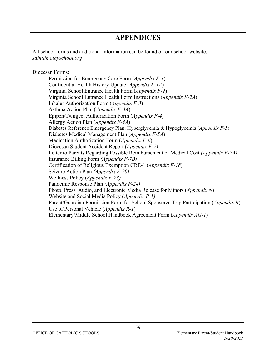### **APPENDICES**

All school forms and additional information can be found on our school website: *sainttimothyschool.org*

Diocesan Forms:

Permission for Emergency Care Form (*Appendix F-1*) Confidential Health History Update (*Appendix F-1A*) Virginia School Entrance Health Form (*Appendix F-2*) Virginia School Entrance Health Form Instructions (*Appendix F-2A*) Inhaler Authorization Form (*Appendix F-3*) Asthma Action Plan (*Appendix F-3A*) Epipen/Twinject Authorization Form (*Appendix F-4*) Allergy Action Plan (*Appendix F-4A*) Diabetes Reference Emergency Plan: Hyperglycemia & Hypoglycemia (*Appendix F-5*) Diabetes Medical Management Plan (*Appendix F-5A*) Medication Authorization Form (*Appendix F-6*) Diocesan Student Accident Report (*Appendix F-7)* Letter to Parents Regarding Possible Reimbursement of Medical Cost *(Appendix F-7A)* Insurance Billing Form *(Appendix F-7B)* Certification of Religious Exemption CRE-1 (*Appendix F-18*) Seizure Action Plan *(Appendix F-20)* Wellness Policy (*Appendix F-23)* Pandemic Response Plan *(Appendix F-24)* Photo, Press, Audio, and Electronic Media Release for Minors (*Appendix N*) Website and Social Media Policy (*Appendix P-1)* Parent/Guardian Permission Form for School Sponsored Trip Participation (*Appendix R*) Use of Personal Vehicle (*Appendix R-1*) Elementary/Middle School Handbook Agreement Form (*Appendix AG-1*)